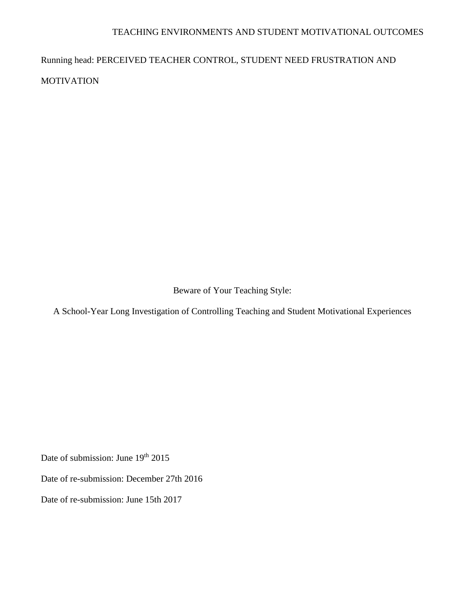# TEACHING ENVIRONMENTS AND STUDENT MOTIVATIONAL OUTCOMES

Running head: PERCEIVED TEACHER CONTROL, STUDENT NEED FRUSTRATION AND MOTIVATION

Beware of Your Teaching Style:

A School-Year Long Investigation of Controlling Teaching and Student Motivational Experiences

Date of submission: June 19<sup>th</sup> 2015

Date of re-submission: December 27th 2016

Date of re-submission: June 15th 2017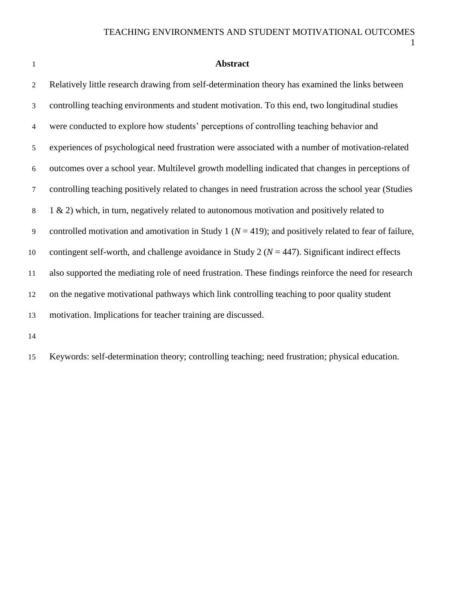### **Abstract**

 Relatively little research drawing from self-determination theory has examined the links between controlling teaching environments and student motivation. To this end, two longitudinal studies were conducted to explore how students' perceptions of controlling teaching behavior and experiences of psychological need frustration were associated with a number of motivation-related outcomes over a school year. Multilevel growth modelling indicated that changes in perceptions of controlling teaching positively related to changes in need frustration across the school year (Studies  $8 \t1 \& 2$ ) which, in turn, negatively related to autonomous motivation and positively related to controlled motivation and amotivation in Study 1 (*N* = 419); and positively related to fear of failure, contingent self-worth, and challenge avoidance in Study 2 (*N* = 447). Significant indirect effects also supported the mediating role of need frustration. These findings reinforce the need for research on the negative motivational pathways which link controlling teaching to poor quality student motivation. Implications for teacher training are discussed.

Keywords: self-determination theory; controlling teaching; need frustration; physical education.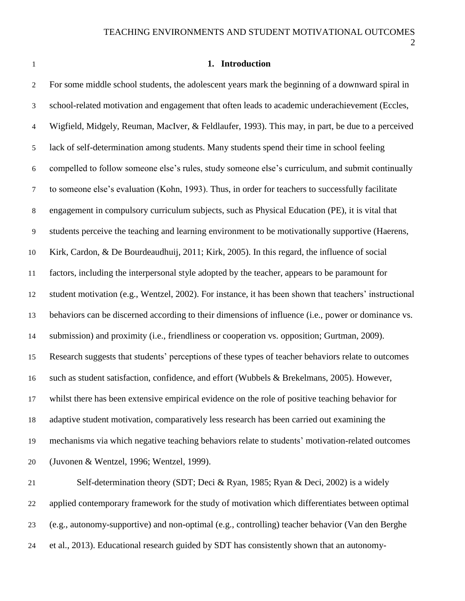## **1. Introduction**

| $\mathbf{2}$   | For some middle school students, the adolescent years mark the beginning of a downward spiral in       |
|----------------|--------------------------------------------------------------------------------------------------------|
| 3              | school-related motivation and engagement that often leads to academic underachievement (Eccles,        |
| $\overline{4}$ | Wigfield, Midgely, Reuman, MacIver, & Feldlaufer, 1993). This may, in part, be due to a perceived      |
| $\mathfrak{S}$ | lack of self-determination among students. Many students spend their time in school feeling            |
| $\sqrt{6}$     | compelled to follow someone else's rules, study someone else's curriculum, and submit continually      |
| $\tau$         | to someone else's evaluation (Kohn, 1993). Thus, in order for teachers to successfully facilitate      |
| $8\,$          | engagement in compulsory curriculum subjects, such as Physical Education (PE), it is vital that        |
| $\overline{9}$ | students perceive the teaching and learning environment to be motivationally supportive (Haerens,      |
| 10             | Kirk, Cardon, & De Bourdeaudhuij, 2011; Kirk, 2005). In this regard, the influence of social           |
| 11             | factors, including the interpersonal style adopted by the teacher, appears to be paramount for         |
| 12             | student motivation (e.g., Wentzel, 2002). For instance, it has been shown that teachers' instructional |
| 13             | behaviors can be discerned according to their dimensions of influence (i.e., power or dominance vs.    |
| 14             | submission) and proximity (i.e., friendliness or cooperation vs. opposition; Gurtman, 2009).           |
| 15             | Research suggests that students' perceptions of these types of teacher behaviors relate to outcomes    |
| 16             | such as student satisfaction, confidence, and effort (Wubbels & Brekelmans, 2005). However,            |
| 17             | whilst there has been extensive empirical evidence on the role of positive teaching behavior for       |
| 18             | adaptive student motivation, comparatively less research has been carried out examining the            |
| 19             | mechanisms via which negative teaching behaviors relate to students' motivation-related outcomes       |
| 20             | (Juvonen & Wentzel, 1996; Wentzel, 1999).                                                              |
| 21             | Self-determination theory (SDT; Deci & Ryan, 1985; Ryan & Deci, 2002) is a widely                      |
| 22             | applied contemporary framework for the study of motivation which differentiates between optimal        |
| 23             | (e.g., autonomy-supportive) and non-optimal (e.g., controlling) teacher behavior (Van den Berghe       |
|                |                                                                                                        |

et al., 2013). Educational research guided by SDT has consistently shown that an autonomy-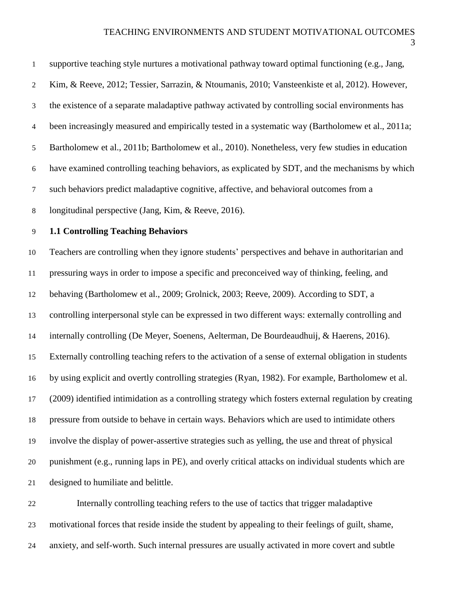the existence of a separate maladaptive pathway activated by controlling social environments has

been increasingly measured and empirically tested in a systematic way (Bartholomew et al., 2011a;

Bartholomew et al., 2011b; Bartholomew et al., 2010). Nonetheless, very few studies in education

have examined controlling teaching behaviors, as explicated by SDT, and the mechanisms by which

such behaviors predict maladaptive cognitive, affective, and behavioral outcomes from a

longitudinal perspective (Jang, Kim, & Reeve, 2016).

## **1.1 Controlling Teaching Behaviors**

 Teachers are controlling when they ignore students' perspectives and behave in authoritarian and pressuring ways in order to impose a specific and preconceived way of thinking, feeling, and behaving (Bartholomew et al., 2009; Grolnick, 2003; Reeve, 2009). According to SDT, a controlling interpersonal style can be expressed in two different ways: externally controlling and internally controlling (De Meyer, Soenens, Aelterman, De Bourdeaudhuij, & Haerens, 2016). Externally controlling teaching refers to the activation of a sense of external obligation in students by using explicit and overtly controlling strategies (Ryan, 1982). For example, Bartholomew et al. (2009) identified intimidation as a controlling strategy which fosters external regulation by creating pressure from outside to behave in certain ways. Behaviors which are used to intimidate others involve the display of power-assertive strategies such as yelling, the use and threat of physical punishment (e.g., running laps in PE), and overly critical attacks on individual students which are designed to humiliate and belittle.

 Internally controlling teaching refers to the use of tactics that trigger maladaptive motivational forces that reside inside the student by appealing to their feelings of guilt, shame, anxiety, and self-worth. Such internal pressures are usually activated in more covert and subtle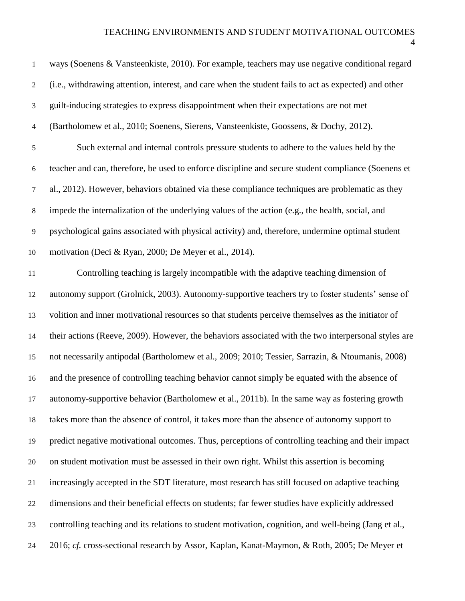## TEACHING ENVIRONMENTS AND STUDENT MOTIVATIONAL OUTCOMES

| $\mathbf{1}$   | ways (Soenens & Vansteenkiste, 2010). For example, teachers may use negative conditional regard       |
|----------------|-------------------------------------------------------------------------------------------------------|
| 2              | (i.e., withdrawing attention, interest, and care when the student fails to act as expected) and other |
| 3              | guilt-inducing strategies to express disappointment when their expectations are not met               |
| $\overline{4}$ | (Bartholomew et al., 2010; Soenens, Sierens, Vansteenkiste, Goossens, & Dochy, 2012).                 |
| 5              | Such external and internal controls pressure students to adhere to the values held by the             |
| 6              | teacher and can, therefore, be used to enforce discipline and secure student compliance (Soenens et   |
| 7              | al., 2012). However, behaviors obtained via these compliance techniques are problematic as they       |
| 8              | impede the internalization of the underlying values of the action (e.g., the health, social, and      |
| 9              | psychological gains associated with physical activity) and, therefore, undermine optimal student      |
| 10             | motivation (Deci & Ryan, 2000; De Meyer et al., 2014).                                                |
| 11             | Controlling teaching is largely incompatible with the adaptive teaching dimension of                  |

11 Controlling teaching autonomy support (Grolnick, 2003). Autonomy-supportive teachers try to foster students' sense of volition and inner motivational resources so that students perceive themselves as the initiator of their actions (Reeve, 2009). However, the behaviors associated with the two interpersonal styles are not necessarily antipodal (Bartholomew et al., 2009; 2010; Tessier, Sarrazin, & Ntoumanis, 2008) and the presence of controlling teaching behavior cannot simply be equated with the absence of autonomy-supportive behavior (Bartholomew et al., 2011b). In the same way as fostering growth takes more than the absence of control, it takes more than the absence of autonomy support to predict negative motivational outcomes. Thus, perceptions of controlling teaching and their impact on student motivation must be assessed in their own right. Whilst this assertion is becoming increasingly accepted in the SDT literature, most research has still focused on adaptive teaching dimensions and their beneficial effects on students; far fewer studies have explicitly addressed controlling teaching and its relations to student motivation, cognition, and well-being (Jang et al., 2016; *cf.* cross-sectional research by Assor, Kaplan, Kanat-Maymon, & Roth, 2005; De Meyer et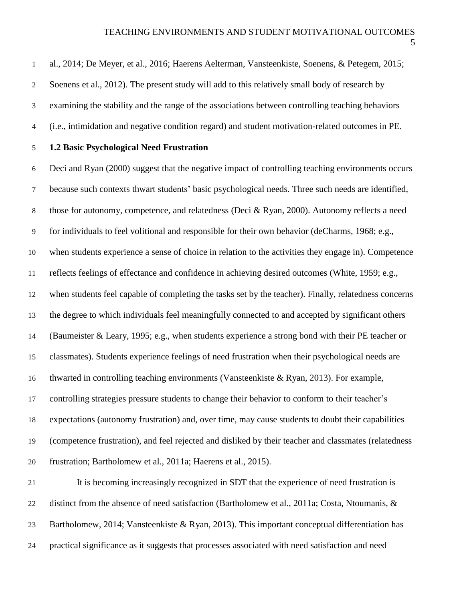| $\mathbf{1}$   | al., 2014; De Meyer, et al., 2016; Haerens Aelterman, Vansteenkiste, Soenens, & Petegem, 2015;        |
|----------------|-------------------------------------------------------------------------------------------------------|
| $\overline{2}$ | Soenens et al., 2012). The present study will add to this relatively small body of research by        |
| $\mathfrak{Z}$ | examining the stability and the range of the associations between controlling teaching behaviors      |
| 4              | (i.e., intimidation and negative condition regard) and student motivation-related outcomes in PE.     |
| $\mathfrak{S}$ | 1.2 Basic Psychological Need Frustration                                                              |
| $\sqrt{6}$     | Deci and Ryan (2000) suggest that the negative impact of controlling teaching environments occurs     |
| $\tau$         | because such contexts thwart students' basic psychological needs. Three such needs are identified,    |
| $\,8\,$        | those for autonomy, competence, and relatedness (Deci & Ryan, 2000). Autonomy reflects a need         |
| 9              | for individuals to feel volitional and responsible for their own behavior (deCharms, 1968; e.g.,      |
| 10             | when students experience a sense of choice in relation to the activities they engage in). Competence  |
| 11             | reflects feelings of effectance and confidence in achieving desired outcomes (White, 1959; e.g.,      |
| 12             | when students feel capable of completing the tasks set by the teacher). Finally, relatedness concerns |
| 13             | the degree to which individuals feel meaningfully connected to and accepted by significant others     |
| 14             | (Baumeister & Leary, 1995; e.g., when students experience a strong bond with their PE teacher or      |
| 15             | classmates). Students experience feelings of need frustration when their psychological needs are      |
| 16             | thwarted in controlling teaching environments (Vansteenkiste & Ryan, 2013). For example,              |
| 17             | controlling strategies pressure students to change their behavior to conform to their teacher's       |
| 18             | expectations (autonomy frustration) and, over time, may cause students to doubt their capabilities    |
| 19             | (competence frustration), and feel rejected and disliked by their teacher and classmates (relatedness |
| 20             | frustration; Bartholomew et al., 2011a; Haerens et al., 2015).                                        |
| 21             | It is becoming increasingly recognized in SDT that the experience of need frustration is              |
| 22             | distinct from the absence of need satisfaction (Bartholomew et al., 2011a; Costa, Ntoumanis, &        |
| 23             | Bartholomew, 2014; Vansteenkiste & Ryan, 2013). This important conceptual differentiation has         |
| 24             | practical significance as it suggests that processes associated with need satisfaction and need       |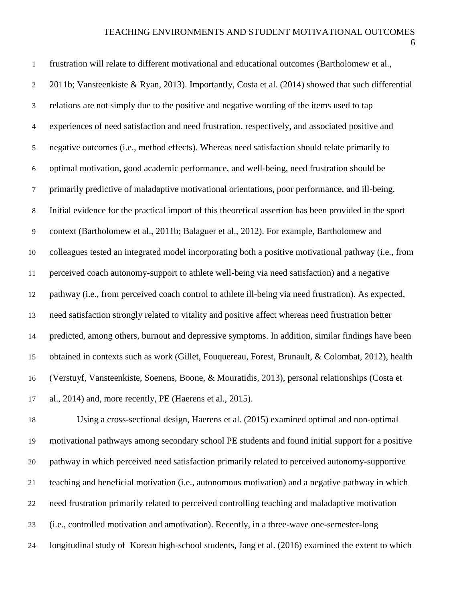| $\mathbf{1}$   | frustration will relate to different motivational and educational outcomes (Bartholomew et al.,        |
|----------------|--------------------------------------------------------------------------------------------------------|
| $\overline{2}$ | 2011b; Vansteenkiste & Ryan, 2013). Importantly, Costa et al. (2014) showed that such differential     |
| 3              | relations are not simply due to the positive and negative wording of the items used to tap             |
| $\overline{4}$ | experiences of need satisfaction and need frustration, respectively, and associated positive and       |
| 5              | negative outcomes (i.e., method effects). Whereas need satisfaction should relate primarily to         |
| $\sqrt{6}$     | optimal motivation, good academic performance, and well-being, need frustration should be              |
| $\tau$         | primarily predictive of maladaptive motivational orientations, poor performance, and ill-being.        |
| $\,8\,$        | Initial evidence for the practical import of this theoretical assertion has been provided in the sport |
| 9              | context (Bartholomew et al., 2011b; Balaguer et al., 2012). For example, Bartholomew and               |
| 10             | colleagues tested an integrated model incorporating both a positive motivational pathway (i.e., from   |
| 11             | perceived coach autonomy-support to athlete well-being via need satisfaction) and a negative           |
| 12             | pathway (i.e., from perceived coach control to athlete ill-being via need frustration). As expected,   |
| 13             | need satisfaction strongly related to vitality and positive affect whereas need frustration better     |
| 14             | predicted, among others, burnout and depressive symptoms. In addition, similar findings have been      |
| 15             | obtained in contexts such as work (Gillet, Fouquereau, Forest, Brunault, & Colombat, 2012), health     |
| 16             | (Verstuyf, Vansteenkiste, Soenens, Boone, & Mouratidis, 2013), personal relationships (Costa et        |
| 17             | al., 2014) and, more recently, PE (Haerens et al., 2015).                                              |
| 18             | Using a cross-sectional design, Haerens et al. (2015) examined optimal and non-optimal                 |
| 19             | motivational pathways among secondary school PE students and found initial support for a positive      |
| 20             | pathway in which perceived need satisfaction primarily related to perceived autonomy-supportive        |
| 21             | teaching and beneficial motivation (i.e., autonomous motivation) and a negative pathway in which       |
| 22             | need frustration primarily related to perceived controlling teaching and maladaptive motivation        |
| 23             | (i.e., controlled motivation and amotivation). Recently, in a three-wave one-semester-long             |
| 24             | longitudinal study of Korean high-school students, Jang et al. (2016) examined the extent to which     |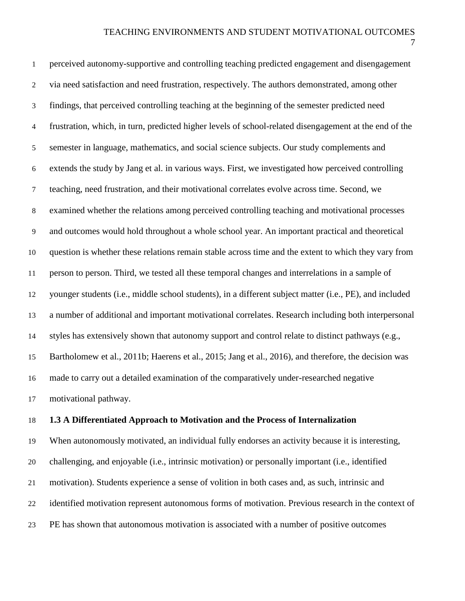perceived autonomy-supportive and controlling teaching predicted engagement and disengagement via need satisfaction and need frustration, respectively. The authors demonstrated, among other findings, that perceived controlling teaching at the beginning of the semester predicted need frustration, which, in turn, predicted higher levels of school-related disengagement at the end of the semester in language, mathematics, and social science subjects. Our study complements and extends the study by Jang et al. in various ways. First, we investigated how perceived controlling teaching, need frustration, and their motivational correlates evolve across time. Second, we examined whether the relations among perceived controlling teaching and motivational processes and outcomes would hold throughout a whole school year. An important practical and theoretical question is whether these relations remain stable across time and the extent to which they vary from person to person. Third, we tested all these temporal changes and interrelations in a sample of younger students (i.e., middle school students), in a different subject matter (i.e., PE), and included a number of additional and important motivational correlates. Research including both interpersonal styles has extensively shown that autonomy support and control relate to distinct pathways (e.g., Bartholomew et al., 2011b; Haerens et al., 2015; Jang et al., 2016), and therefore, the decision was made to carry out a detailed examination of the comparatively under-researched negative motivational pathway.

## **1.3 A Differentiated Approach to Motivation and the Process of Internalization**

 When autonomously motivated, an individual fully endorses an activity because it is interesting, challenging, and enjoyable (i.e., intrinsic motivation) or personally important (i.e., identified motivation). Students experience a sense of volition in both cases and, as such, intrinsic and identified motivation represent autonomous forms of motivation. Previous research in the context of PE has shown that autonomous motivation is associated with a number of positive outcomes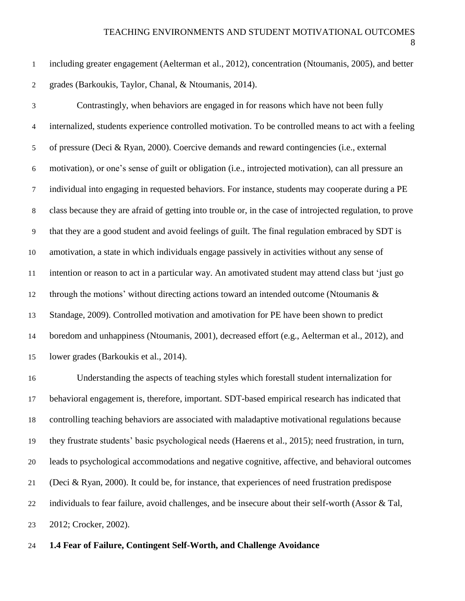including greater engagement (Aelterman et al., 2012), concentration (Ntoumanis, 2005), and better grades (Barkoukis, Taylor, Chanal, & Ntoumanis, 2014).

 Contrastingly, when behaviors are engaged in for reasons which have not been fully internalized, students experience controlled motivation. To be controlled means to act with a feeling of pressure (Deci & Ryan, 2000). Coercive demands and reward contingencies (i.e., external motivation), or one's sense of guilt or obligation (i.e., introjected motivation), can all pressure an individual into engaging in requested behaviors. For instance, students may cooperate during a PE class because they are afraid of getting into trouble or, in the case of introjected regulation, to prove that they are a good student and avoid feelings of guilt. The final regulation embraced by SDT is amotivation, a state in which individuals engage passively in activities without any sense of intention or reason to act in a particular way. An amotivated student may attend class but 'just go through the motions' without directing actions toward an intended outcome (Ntoumanis & Standage, 2009). Controlled motivation and amotivation for PE have been shown to predict boredom and unhappiness (Ntoumanis, 2001), decreased effort (e.g., Aelterman et al., 2012), and lower grades (Barkoukis et al., 2014).

 Understanding the aspects of teaching styles which forestall student internalization for behavioral engagement is, therefore, important. SDT-based empirical research has indicated that controlling teaching behaviors are associated with maladaptive motivational regulations because they frustrate students' basic psychological needs (Haerens et al., 2015); need frustration, in turn, leads to psychological accommodations and negative cognitive, affective, and behavioral outcomes (Deci & Ryan, 2000). It could be, for instance, that experiences of need frustration predispose individuals to fear failure, avoid challenges, and be insecure about their self-worth (Assor & Tal, 2012; Crocker, 2002).

### **1.4 Fear of Failure, Contingent Self-Worth, and Challenge Avoidance**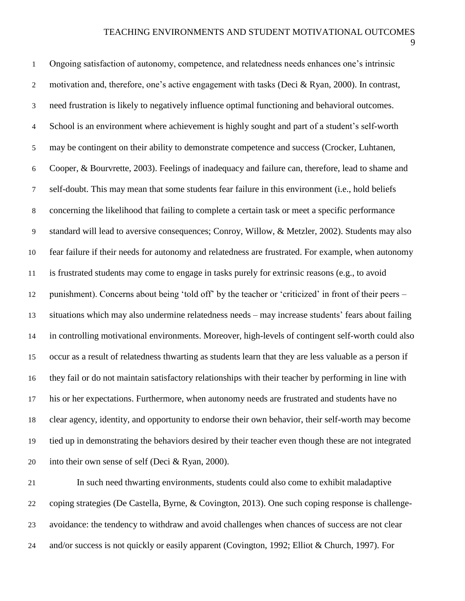Ongoing satisfaction of autonomy, competence, and relatedness needs enhances one's intrinsic motivation and, therefore, one's active engagement with tasks (Deci & Ryan, 2000). In contrast, need frustration is likely to negatively influence optimal functioning and behavioral outcomes. School is an environment where achievement is highly sought and part of a student's self-worth may be contingent on their ability to demonstrate competence and success (Crocker, Luhtanen, Cooper, & Bourvrette, 2003). Feelings of inadequacy and failure can, therefore, lead to shame and self-doubt. This may mean that some students fear failure in this environment (i.e., hold beliefs concerning the likelihood that failing to complete a certain task or meet a specific performance standard will lead to aversive consequences; Conroy, Willow, & Metzler, 2002). Students may also fear failure if their needs for autonomy and relatedness are frustrated. For example, when autonomy is frustrated students may come to engage in tasks purely for extrinsic reasons (e.g., to avoid punishment). Concerns about being 'told off' by the teacher or 'criticized' in front of their peers – situations which may also undermine relatedness needs – may increase students' fears about failing in controlling motivational environments. Moreover, high-levels of contingent self-worth could also occur as a result of relatedness thwarting as students learn that they are less valuable as a person if they fail or do not maintain satisfactory relationships with their teacher by performing in line with his or her expectations. Furthermore, when autonomy needs are frustrated and students have no clear agency, identity, and opportunity to endorse their own behavior, their self-worth may become tied up in demonstrating the behaviors desired by their teacher even though these are not integrated into their own sense of self (Deci & Ryan, 2000). In such need thwarting environments, students could also come to exhibit maladaptive coping strategies (De Castella, Byrne, & Covington, 2013). One such coping response is challenge-

avoidance: the tendency to withdraw and avoid challenges when chances of success are not clear

and/or success is not quickly or easily apparent (Covington, 1992; Elliot & Church, 1997). For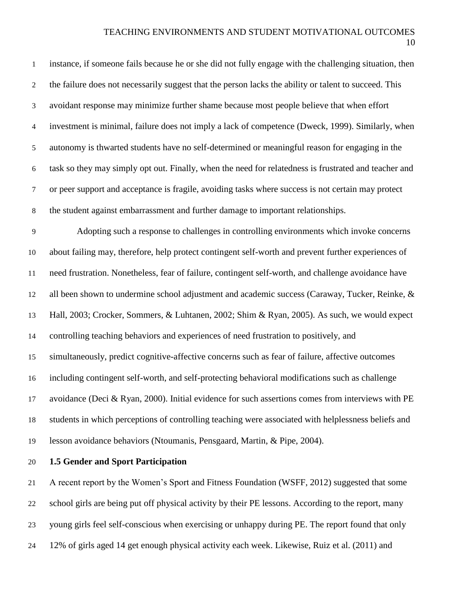### TEACHING ENVIRONMENTS AND STUDENT MOTIVATIONAL OUTCOMES

| $\mathbf{1}$   | instance, if someone fails because he or she did not fully engage with the challenging situation, then |
|----------------|--------------------------------------------------------------------------------------------------------|
| $\overline{2}$ | the failure does not necessarily suggest that the person lacks the ability or talent to succeed. This  |
| 3              | avoidant response may minimize further shame because most people believe that when effort              |
| $\overline{4}$ | investment is minimal, failure does not imply a lack of competence (Dweck, 1999). Similarly, when      |
| $\mathfrak{S}$ | autonomy is thwarted students have no self-determined or meaningful reason for engaging in the         |
| 6              | task so they may simply opt out. Finally, when the need for relatedness is frustrated and teacher and  |
| $\tau$         | or peer support and acceptance is fragile, avoiding tasks where success is not certain may protect     |
| $8\,$          | the student against embarrassment and further damage to important relationships.                       |
| 9              | Adopting such a response to challenges in controlling environments which invoke concerns               |
| 10             | about failing may, therefore, help protect contingent self-worth and prevent further experiences of    |
| 11             | need frustration. Nonetheless, fear of failure, contingent self-worth, and challenge avoidance have    |
| 12             | all been shown to undermine school adjustment and academic success (Caraway, Tucker, Reinke, &         |
| 13             | Hall, 2003; Crocker, Sommers, & Luhtanen, 2002; Shim & Ryan, 2005). As such, we would expect           |
| 14             | controlling teaching behaviors and experiences of need frustration to positively, and                  |
| 15             | simultaneously, predict cognitive-affective concerns such as fear of failure, affective outcomes       |
| 16             | including contingent self-worth, and self-protecting behavioral modifications such as challenge        |
| 17             | avoidance (Deci & Ryan, 2000). Initial evidence for such assertions comes from interviews with PE      |
| 18             | students in which perceptions of controlling teaching were associated with helplessness beliefs and    |
| 19             | lesson avoidance behaviors (Ntoumanis, Pensgaard, Martin, & Pipe, 2004).                               |
| 20             | 1.5 Gender and Sport Participation                                                                     |

 A recent report by the Women's Sport and Fitness Foundation (WSFF, 2012) suggested that some school girls are being put off physical activity by their PE lessons. According to the report, many young girls feel self-conscious when exercising or unhappy during PE. The report found that only 12% of girls aged 14 get enough physical activity each week. Likewise, Ruiz et al. (2011) and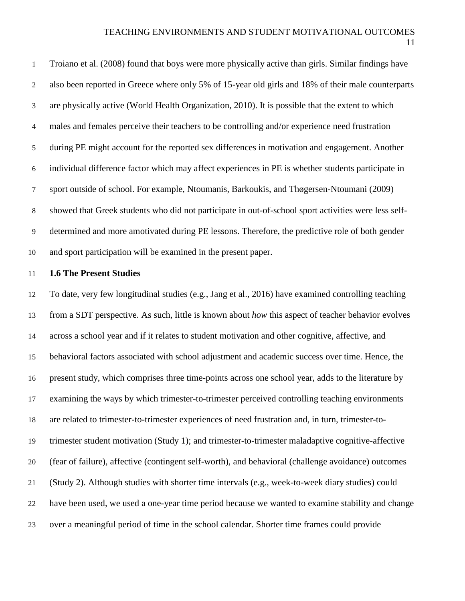Troiano et al. (2008) found that boys were more physically active than girls. Similar findings have also been reported in Greece where only 5% of 15-year old girls and 18% of their male counterparts are physically active (World Health Organization, 2010). It is possible that the extent to which males and females perceive their teachers to be controlling and/or experience need frustration during PE might account for the reported sex differences in motivation and engagement. Another individual difference factor which may affect experiences in PE is whether students participate in sport outside of school. For example, Ntoumanis, Barkoukis, and Thøgersen-Ntoumani (2009) showed that Greek students who did not participate in out-of-school sport activities were less self- determined and more amotivated during PE lessons. Therefore, the predictive role of both gender and sport participation will be examined in the present paper.

### **1.6 The Present Studies**

 To date, very few longitudinal studies (e.g., Jang et al., 2016) have examined controlling teaching from a SDT perspective. As such, little is known about *how* this aspect of teacher behavior evolves across a school year and if it relates to student motivation and other cognitive, affective, and behavioral factors associated with school adjustment and academic success over time. Hence, the present study, which comprises three time-points across one school year, adds to the literature by examining the ways by which trimester-to-trimester perceived controlling teaching environments are related to trimester-to-trimester experiences of need frustration and, in turn, trimester-to- trimester student motivation (Study 1); and trimester-to-trimester maladaptive cognitive-affective (fear of failure), affective (contingent self-worth), and behavioral (challenge avoidance) outcomes (Study 2). Although studies with shorter time intervals (e.g., week-to-week diary studies) could have been used, we used a one-year time period because we wanted to examine stability and change over a meaningful period of time in the school calendar. Shorter time frames could provide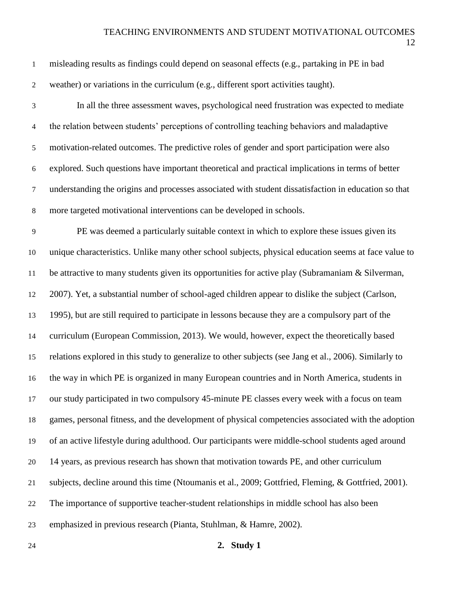| 24                          | 2. Study 1                                                                                             |
|-----------------------------|--------------------------------------------------------------------------------------------------------|
| 23                          | emphasized in previous research (Pianta, Stuhlman, & Hamre, 2002).                                     |
| 22                          | The importance of supportive teacher-student relationships in middle school has also been              |
| 21                          | subjects, decline around this time (Ntoumanis et al., 2009; Gottfried, Fleming, & Gottfried, 2001).    |
| 20                          | 14 years, as previous research has shown that motivation towards PE, and other curriculum              |
| 19                          | of an active lifestyle during adulthood. Our participants were middle-school students aged around      |
| 18                          | games, personal fitness, and the development of physical competencies associated with the adoption     |
| 17                          | our study participated in two compulsory 45-minute PE classes every week with a focus on team          |
| 16                          | the way in which PE is organized in many European countries and in North America, students in          |
| 15                          | relations explored in this study to generalize to other subjects (see Jang et al., 2006). Similarly to |
| 14                          | curriculum (European Commission, 2013). We would, however, expect the theoretically based              |
| 13                          | 1995), but are still required to participate in lessons because they are a compulsory part of the      |
| 12                          | 2007). Yet, a substantial number of school-aged children appear to dislike the subject (Carlson,       |
| $11\,$                      | be attractive to many students given its opportunities for active play (Subramaniam & Silverman,       |
| 10                          | unique characteristics. Unlike many other school subjects, physical education seems at face value to   |
| $\overline{9}$              | PE was deemed a particularly suitable context in which to explore these issues given its               |
| $\,8\,$                     | more targeted motivational interventions can be developed in schools.                                  |
| $\boldsymbol{7}$            | understanding the origins and processes associated with student dissatisfaction in education so that   |
| $\sqrt{6}$                  | explored. Such questions have important theoretical and practical implications in terms of better      |
| $\sqrt{5}$                  | motivation-related outcomes. The predictive roles of gender and sport participation were also          |
| $\overline{4}$              | the relation between students' perceptions of controlling teaching behaviors and maladaptive           |
| $\ensuremath{\mathfrak{Z}}$ | In all the three assessment waves, psychological need frustration was expected to mediate              |
| $\boldsymbol{2}$            | weather) or variations in the curriculum (e.g., different sport activities taught).                    |
| $\mathbf{1}$                | misleading results as findings could depend on seasonal effects (e.g., partaking in PE in bad          |
|                             |                                                                                                        |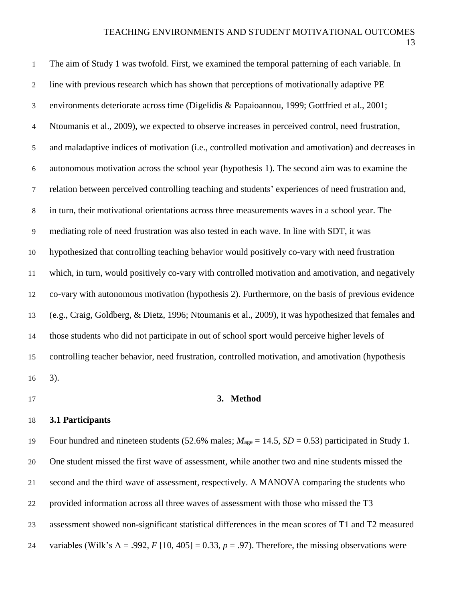| $\mathbf{1}$     | The aim of Study 1 was twofold. First, we examined the temporal patterning of each variable. In      |
|------------------|------------------------------------------------------------------------------------------------------|
| $\overline{2}$   | line with previous research which has shown that perceptions of motivationally adaptive PE           |
| 3                | environments deteriorate across time (Digelidis & Papaioannou, 1999; Gottfried et al., 2001;         |
| $\overline{4}$   | Ntoumanis et al., 2009), we expected to observe increases in perceived control, need frustration,    |
| 5                | and maladaptive indices of motivation (i.e., controlled motivation and amotivation) and decreases in |
| $\boldsymbol{6}$ | autonomous motivation across the school year (hypothesis 1). The second aim was to examine the       |
| $\tau$           | relation between perceived controlling teaching and students' experiences of need frustration and,   |
| $\,8\,$          | in turn, their motivational orientations across three measurements waves in a school year. The       |
| 9                | mediating role of need frustration was also tested in each wave. In line with SDT, it was            |
| 10               | hypothesized that controlling teaching behavior would positively co-vary with need frustration       |
| 11               | which, in turn, would positively co-vary with controlled motivation and amotivation, and negatively  |
| 12               | co-vary with autonomous motivation (hypothesis 2). Furthermore, on the basis of previous evidence    |
| 13               | (e.g., Craig, Goldberg, & Dietz, 1996; Ntoumanis et al., 2009), it was hypothesized that females and |
| 14               | those students who did not participate in out of school sport would perceive higher levels of        |
| 15               | controlling teacher behavior, need frustration, controlled motivation, and amotivation (hypothesis   |
| 16               | 3).                                                                                                  |
|                  |                                                                                                      |

## **3. Method**

### **3.1 Participants**

19 Four hundred and nineteen students (52.6% males;  $M_{\text{age}} = 14.5$ ,  $SD = 0.53$ ) participated in Study 1. One student missed the first wave of assessment, while another two and nine students missed the second and the third wave of assessment, respectively. A MANOVA comparing the students who provided information across all three waves of assessment with those who missed the T3 assessment showed non-significant statistical differences in the mean scores of T1 and T2 measured variables (Wilk's Λ = .992, *F* [10, 405] = 0.33, *p* = .97). Therefore, the missing observations were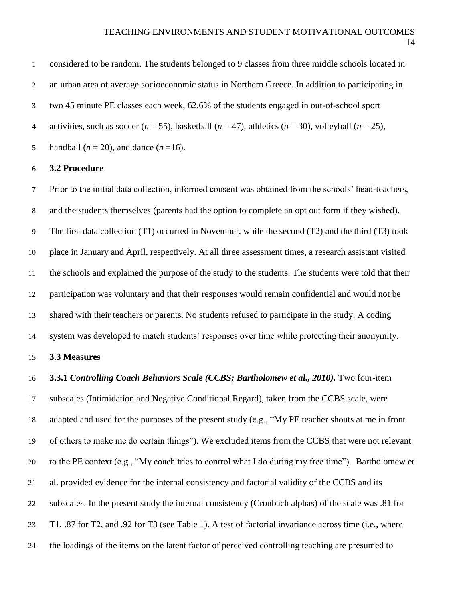considered to be random. The students belonged to 9 classes from three middle schools located in an urban area of average socioeconomic status in Northern Greece. In addition to participating in two 45 minute PE classes each week, 62.6% of the students engaged in out-of-school sport 4 activities, such as soccer  $(n = 55)$ , basketball  $(n = 47)$ , athletics  $(n = 30)$ , volleyball  $(n = 25)$ ,

### **3.2 Procedure**

5 handball  $(n = 20)$ , and dance  $(n = 16)$ .

 Prior to the initial data collection, informed consent was obtained from the schools' head-teachers, and the students themselves (parents had the option to complete an opt out form if they wished). The first data collection (T1) occurred in November, while the second (T2) and the third (T3) took place in January and April, respectively. At all three assessment times, a research assistant visited the schools and explained the purpose of the study to the students. The students were told that their participation was voluntary and that their responses would remain confidential and would not be shared with their teachers or parents. No students refused to participate in the study. A coding system was developed to match students' responses over time while protecting their anonymity.

## **3.3 Measures**

### **3.3.1** *Controlling Coach Behaviors Scale (CCBS; Bartholomew et al., 2010).* Two four-item

 subscales (Intimidation and Negative Conditional Regard), taken from the CCBS scale, were adapted and used for the purposes of the present study (e.g., "My PE teacher shouts at me in front of others to make me do certain things"). We excluded items from the CCBS that were not relevant to the PE context (e.g., "My coach tries to control what I do during my free time"). Bartholomew et al. provided evidence for the internal consistency and factorial validity of the CCBS and its subscales. In the present study the internal consistency (Cronbach alphas) of the scale was .81 for T1, .87 for T2, and .92 for T3 (see Table 1). A test of factorial invariance across time (i.e., where the loadings of the items on the latent factor of perceived controlling teaching are presumed to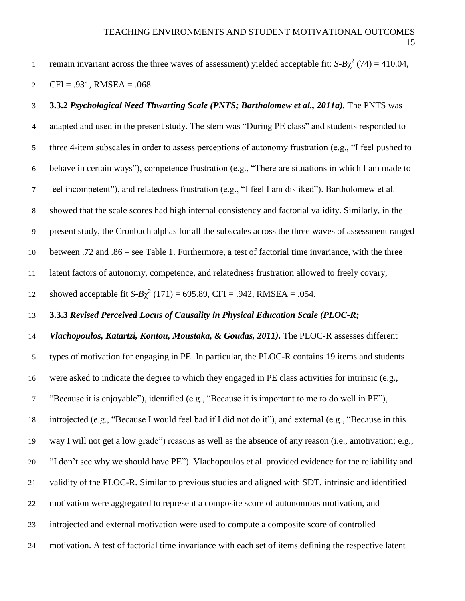remain invariant across the three waves of assessment) yielded acceptable fit:  $S-B\chi^2$  (74) = 410.04,

2 CFI = .931, RMSEA = .068.

# **3.3.2** *Psychological Need Thwarting Scale (PNTS; Bartholomew et al., 2011a).* The PNTS was adapted and used in the present study. The stem was "During PE class" and students responded to three 4-item subscales in order to assess perceptions of autonomy frustration (e.g., "I feel pushed to behave in certain ways"), competence frustration (e.g., "There are situations in which I am made to feel incompetent"), and relatedness frustration (e.g., "I feel I am disliked"). Bartholomew et al. showed that the scale scores had high internal consistency and factorial validity. Similarly, in the present study, the Cronbach alphas for all the subscales across the three waves of assessment ranged between .72 and .86 – see Table 1. Furthermore, a test of factorial time invariance, with the three latent factors of autonomy, competence, and relatedness frustration allowed to freely covary, showed acceptable fit  $S-B\chi^2$  (171) = 695.89, CFI = .942, RMSEA = .054. **3.3.3** *Revised Perceived Locus of Causality in Physical Education Scale (PLOC-R; Vlachopoulos, Katartzi, Kontou, Moustaka, & Goudas, 2011).* The PLOC-R assesses different types of motivation for engaging in PE. In particular, the PLOC-R contains 19 items and students were asked to indicate the degree to which they engaged in PE class activities for intrinsic (e.g.,

"Because it is enjoyable"), identified (e.g., "Because it is important to me to do well in PE"),

introjected (e.g., "Because I would feel bad if I did not do it"), and external (e.g., "Because in this

way I will not get a low grade") reasons as well as the absence of any reason (i.e., amotivation; e.g.,

"I don't see why we should have PE"). Vlachopoulos et al. provided evidence for the reliability and

- validity of the PLOC-R. Similar to previous studies and aligned with SDT, intrinsic and identified
- motivation were aggregated to represent a composite score of autonomous motivation, and
- introjected and external motivation were used to compute a composite score of controlled
- motivation. A test of factorial time invariance with each set of items defining the respective latent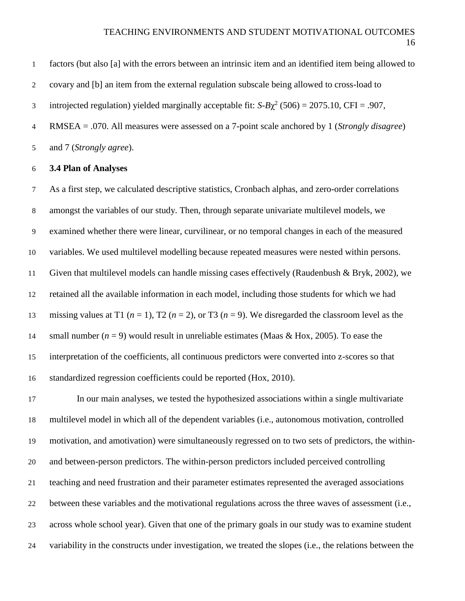factors (but also [a] with the errors between an intrinsic item and an identified item being allowed to covary and [b] an item from the external regulation subscale being allowed to cross-load to 3 introjected regulation) yielded marginally acceptable fit:  $S-B\chi^2$  (506) = 2075.10, CFI = .907, RMSEA = .070. All measures were assessed on a 7-point scale anchored by 1 (*Strongly disagree*)

and 7 (*Strongly agree*).

## **3.4 Plan of Analyses**

 As a first step, we calculated descriptive statistics, Cronbach alphas, and zero-order correlations amongst the variables of our study. Then, through separate univariate multilevel models, we examined whether there were linear, curvilinear, or no temporal changes in each of the measured variables. We used multilevel modelling because repeated measures were nested within persons. Given that multilevel models can handle missing cases effectively (Raudenbush & Bryk, 2002), we retained all the available information in each model, including those students for which we had 13 missing values at T1  $(n = 1)$ , T2  $(n = 2)$ , or T3  $(n = 9)$ . We disregarded the classroom level as the 14 small number  $(n = 9)$  would result in unreliable estimates (Maas & Hox, 2005). To ease the interpretation of the coefficients, all continuous predictors were converted into z-scores so that standardized regression coefficients could be reported (Hox, 2010).

 In our main analyses, we tested the hypothesized associations within a single multivariate multilevel model in which all of the dependent variables (i.e., autonomous motivation, controlled motivation, and amotivation) were simultaneously regressed on to two sets of predictors, the within- and between-person predictors. The within-person predictors included perceived controlling teaching and need frustration and their parameter estimates represented the averaged associations between these variables and the motivational regulations across the three waves of assessment (i.e., across whole school year). Given that one of the primary goals in our study was to examine student variability in the constructs under investigation, we treated the slopes (i.e., the relations between the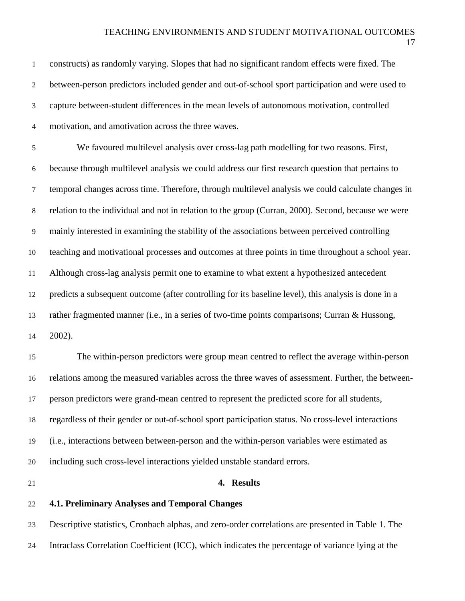| $\mathbf{1}$     | constructs) as randomly varying. Slopes that had no significant random effects were fixed. The       |
|------------------|------------------------------------------------------------------------------------------------------|
| 2                | between-person predictors included gender and out-of-school sport participation and were used to     |
| 3                | capture between-student differences in the mean levels of autonomous motivation, controlled          |
| 4                | motivation, and amotivation across the three waves.                                                  |
| 5                | We favoured multilevel analysis over cross-lag path modelling for two reasons. First,                |
| $\boldsymbol{6}$ | because through multilevel analysis we could address our first research question that pertains to    |
| $\tau$           | temporal changes across time. Therefore, through multilevel analysis we could calculate changes in   |
| $8\,$            | relation to the individual and not in relation to the group (Curran, 2000). Second, because we were  |
| 9                | mainly interested in examining the stability of the associations between perceived controlling       |
| 10               | teaching and motivational processes and outcomes at three points in time throughout a school year.   |
| 11               | Although cross-lag analysis permit one to examine to what extent a hypothesized antecedent           |
| 12               | predicts a subsequent outcome (after controlling for its baseline level), this analysis is done in a |
| 13               | rather fragmented manner (i.e., in a series of two-time points comparisons; Curran & Hussong,        |
| 14               | 2002).                                                                                               |
| 15               | The within-person predictors were group mean centred to reflect the average within-person            |
| 16               | relations among the measured variables across the three waves of assessment. Further, the between-   |
| 17               | person predictors were grand-mean centred to represent the predicted score for all students,         |
| 18               | regardless of their gender or out-of-school sport participation status. No cross-level interactions  |
| 19               | (i.e., interactions between between-person and the within-person variables were estimated as         |
| 20               | including such cross-level interactions yielded unstable standard errors.                            |
| 21               | 4. Results                                                                                           |
| 22               | <b>4.1. Preliminary Analyses and Temporal Changes</b>                                                |

 Descriptive statistics, Cronbach alphas, and zero-order correlations are presented in Table 1. The Intraclass Correlation Coefficient (ICC), which indicates the percentage of variance lying at the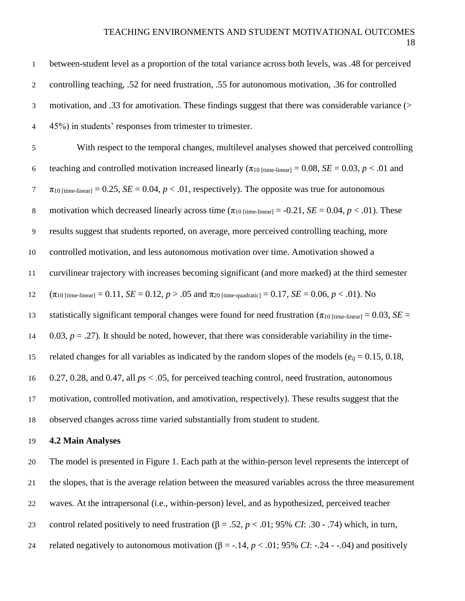## TEACHING ENVIRONMENTS AND STUDENT MOTIVATIONAL OUTCOMES

| $\mathbf 1$      | between-student level as a proportion of the total variance across both levels, was .48 for perceived                                        |
|------------------|----------------------------------------------------------------------------------------------------------------------------------------------|
| $\boldsymbol{2}$ | controlling teaching, .52 for need frustration, .55 for autonomous motivation, .36 for controlled                                            |
| $\mathfrak{Z}$   | motivation, and .33 for amotivation. These findings suggest that there was considerable variance (>                                          |
| $\overline{4}$   | 45%) in students' responses from trimester to trimester.                                                                                     |
| $\sqrt{5}$       | With respect to the temporal changes, multilevel analyses showed that perceived controlling                                                  |
| $\sqrt{6}$       | teaching and controlled motivation increased linearly ( $\pi_{10 \text{ [time-linear]}} = 0.08$ , $SE = 0.03$ , $p < .01$ and                |
| $\tau$           | $\pi_{10 \text{ [time-linear]}} = 0.25$ , $SE = 0.04$ , $p < .01$ , respectively). The opposite was true for autonomous                      |
| $\,8\,$          | motivation which decreased linearly across time $(\pi_{10 \text{ [time-linear]}} = -0.21, SE = 0.04, p < .01)$ . These                       |
| $\boldsymbol{9}$ | results suggest that students reported, on average, more perceived controlling teaching, more                                                |
| 10               | controlled motivation, and less autonomous motivation over time. Amotivation showed a                                                        |
| 11               | curvilinear trajectory with increases becoming significant (and more marked) at the third semester                                           |
| 12               | $(\pi_{10 \text{ [time-linear]}} = 0.11, SE = 0.12, p > .05 \text{ and } \pi_{20 \text{ [time-quadratic]}} = 0.17, SE = 0.06, p < .01)$ . No |
| 13               | statistically significant temporal changes were found for need frustration ( $\pi_{10 \text{ [time-linear]}} = 0.03$ , SE =                  |
| 14               | 0.03, $p = .27$ ). It should be noted, however, that there was considerable variability in the time-                                         |
| 15               | related changes for all variables as indicated by the random slopes of the models ( $e_{ij} = 0.15, 0.18$ ,                                  |
| 16               | 0.27, 0.28, and 0.47, all $ps < .05$ , for perceived teaching control, need frustration, autonomous                                          |
| 17               | motivation, controlled motivation, and amotivation, respectively). These results suggest that the                                            |
| 18               | observed changes across time varied substantially from student to student.                                                                   |
| 19               | <b>4.2 Main Analyses</b>                                                                                                                     |
| 20               | The model is presented in Figure 1. Each path at the within-person level represents the intercept of                                         |
| 21               | the slopes, that is the average relation between the measured variables across the three measurement                                         |
| 22               | waves. At the intrapersonal (i.e., within-person) level, and as hypothesized, perceived teacher                                              |
| 23               | control related positively to need frustration ( $\beta = .52$ , $p < .01$ ; 95% CI: .30 - .74) which, in turn,                              |
| 24               | related negatively to autonomous motivation ( $\beta$ = -.14, $p$ < .01; 95% CI: -.24 - -.04) and positively                                 |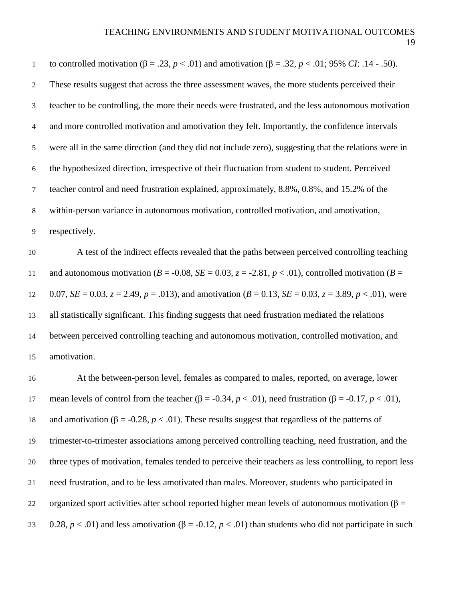| $1\,$          | to controlled motivation (β = .23, <i>p</i> < .01) and amotivation (β = .32, <i>p</i> < .01; 95% <i>CI</i> : .14 - .50).   |
|----------------|----------------------------------------------------------------------------------------------------------------------------|
| $\overline{2}$ | These results suggest that across the three assessment waves, the more students perceived their                            |
| $\mathfrak{Z}$ | teacher to be controlling, the more their needs were frustrated, and the less autonomous motivation                        |
| $\overline{4}$ | and more controlled motivation and amotivation they felt. Importantly, the confidence intervals                            |
| 5              | were all in the same direction (and they did not include zero), suggesting that the relations were in                      |
| 6              | the hypothesized direction, irrespective of their fluctuation from student to student. Perceived                           |
| $\tau$         | teacher control and need frustration explained, approximately, 8.8%, 0.8%, and 15.2% of the                                |
| 8              | within-person variance in autonomous motivation, controlled motivation, and amotivation,                                   |
| 9              | respectively.                                                                                                              |
| 10             | A test of the indirect effects revealed that the paths between perceived controlling teaching                              |
| 11             | and autonomous motivation ( $B = -0.08$ , $SE = 0.03$ , $z = -2.81$ , $p < .01$ ), controlled motivation ( $B =$           |
| 12             | 0.07, $SE = 0.03$ , $z = 2.49$ , $p = .013$ ), and amotivation ( $B = 0.13$ , $SE = 0.03$ , $z = 3.89$ , $p < .01$ ), were |
| 13             | all statistically significant. This finding suggests that need frustration mediated the relations                          |
| 14             | between perceived controlling teaching and autonomous motivation, controlled motivation, and                               |
| 15             | amotivation.                                                                                                               |
| 16             | At the between-person level, females as compared to males, reported, on average, lower                                     |
| 17             | mean levels of control from the teacher ( $\beta$ = -0.34, $p < .01$ ), need frustration ( $\beta$ = -0.17, $p < .01$ ),   |
| 18             | and amotivation ( $\beta$ = -0.28, $p < .01$ ). These results suggest that regardless of the patterns of                   |
| 19             | trimester-to-trimester associations among perceived controlling teaching, need frustration, and the                        |
| 20             | three types of motivation, females tended to perceive their teachers as less controlling, to report less                   |
| 21             | need frustration, and to be less amotivated than males. Moreover, students who participated in                             |
| 22             | organized sport activities after school reported higher mean levels of autonomous motivation ( $\beta$ =                   |
| 23             | 0.28, $p < .01$ ) and less amotivation ( $\beta = .0.12$ , $p < .01$ ) than students who did not participate in such       |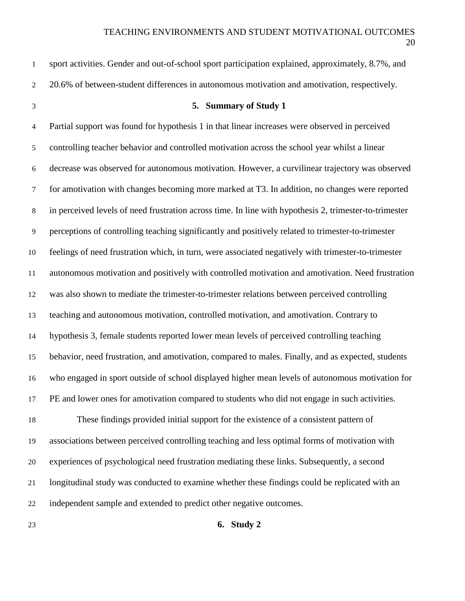| 1                | sport activities. Gender and out-of-school sport participation explained, approximately, 8.7%, and     |
|------------------|--------------------------------------------------------------------------------------------------------|
| $\boldsymbol{2}$ | 20.6% of between-student differences in autonomous motivation and amotivation, respectively.           |
| $\mathfrak{Z}$   | 5. Summary of Study 1                                                                                  |
| $\overline{4}$   | Partial support was found for hypothesis 1 in that linear increases were observed in perceived         |
| $\mathfrak{S}$   | controlling teacher behavior and controlled motivation across the school year whilst a linear          |
| 6                | decrease was observed for autonomous motivation. However, a curvilinear trajectory was observed        |
| $\tau$           | for amotivation with changes becoming more marked at T3. In addition, no changes were reported         |
| $\,8\,$          | in perceived levels of need frustration across time. In line with hypothesis 2, trimester-to-trimester |
| 9                | perceptions of controlling teaching significantly and positively related to trimester-to-trimester     |
| 10               | feelings of need frustration which, in turn, were associated negatively with trimester-to-trimester    |
| 11               | autonomous motivation and positively with controlled motivation and amotivation. Need frustration      |
| 12               | was also shown to mediate the trimester-to-trimester relations between perceived controlling           |
| 13               | teaching and autonomous motivation, controlled motivation, and amotivation. Contrary to                |
| 14               | hypothesis 3, female students reported lower mean levels of perceived controlling teaching             |
| 15               | behavior, need frustration, and amotivation, compared to males. Finally, and as expected, students     |
| 16               | who engaged in sport outside of school displayed higher mean levels of autonomous motivation for       |
| 17               | PE and lower ones for amotivation compared to students who did not engage in such activities.          |
| 18               | These findings provided initial support for the existence of a consistent pattern of                   |
| 19               | associations between perceived controlling teaching and less optimal forms of motivation with          |
| 20               | experiences of psychological need frustration mediating these links. Subsequently, a second            |
| 21               | longitudinal study was conducted to examine whether these findings could be replicated with an         |
| 22               | independent sample and extended to predict other negative outcomes.                                    |
| 23               | 6. Study 2                                                                                             |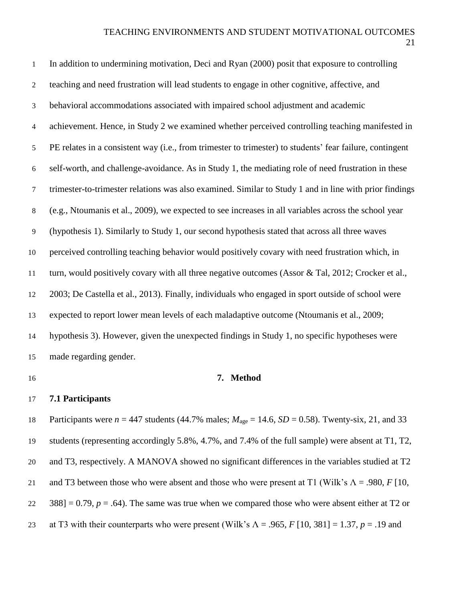| $\mathbf{1}$   | In addition to undermining motivation, Deci and Ryan (2000) posit that exposure to controlling                     |
|----------------|--------------------------------------------------------------------------------------------------------------------|
| $\overline{2}$ | teaching and need frustration will lead students to engage in other cognitive, affective, and                      |
| 3              | behavioral accommodations associated with impaired school adjustment and academic                                  |
| 4              | achievement. Hence, in Study 2 we examined whether perceived controlling teaching manifested in                    |
| 5              | PE relates in a consistent way (i.e., from trimester to trimester) to students' fear failure, contingent           |
| 6              | self-worth, and challenge-avoidance. As in Study 1, the mediating role of need frustration in these                |
| $\tau$         | trimester-to-trimester relations was also examined. Similar to Study 1 and in line with prior findings             |
| 8              | (e.g., Ntoumanis et al., 2009), we expected to see increases in all variables across the school year               |
| 9              | (hypothesis 1). Similarly to Study 1, our second hypothesis stated that across all three waves                     |
| $10\,$         | perceived controlling teaching behavior would positively covary with need frustration which, in                    |
| 11             | turn, would positively covary with all three negative outcomes (Assor & Tal, 2012; Crocker et al.,                 |
| 12             | 2003; De Castella et al., 2013). Finally, individuals who engaged in sport outside of school were                  |
| 13             | expected to report lower mean levels of each maladaptive outcome (Ntoumanis et al., 2009;                          |
| 14             | hypothesis 3). However, given the unexpected findings in Study 1, no specific hypotheses were                      |
| 15             | made regarding gender.                                                                                             |
| 16             | 7. Method                                                                                                          |
| 17             | 7.1 Participants                                                                                                   |
| 18             | Participants were $n = 447$ students (44.7% males; $M_{\text{age}} = 14.6$ , $SD = 0.58$ ). Twenty-six, 21, and 33 |
| 19             | students (representing accordingly 5.8%, 4.7%, and 7.4% of the full sample) were absent at T1, T2,                 |

and T3, respectively. A MANOVA showed no significant differences in the variables studied at T2

and T3 between those who were absent and those who were present at T1 (Wilk's Λ = .980, *F* [10,

22 388] = 0.79,  $p = .64$ ). The same was true when we compared those who were absent either at T2 or

at T3 with their counterparts who were present (Wilk's Λ = .965, *F* [10, 381] = 1.37, *p* = .19 and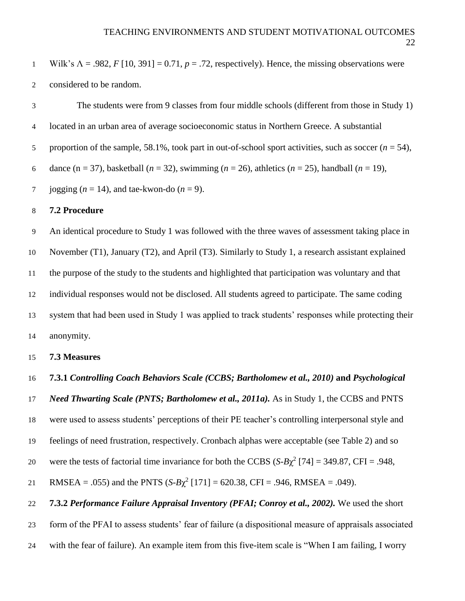Wilk's Λ = .982, *F* [10, 391] = 0.71, *p* = .72, respectively). Hence, the missing observations were considered to be random. The students were from 9 classes from four middle schools (different from those in Study 1) located in an urban area of average socioeconomic status in Northern Greece. A substantial 5 proportion of the sample, 58.1%, took part in out-of-school sport activities, such as soccer  $(n = 54)$ , dance (n = 37), basketball (*n* = 32), swimming (*n* = 26), athletics (*n* = 25), handball (*n* = 19), 7 jogging  $(n = 14)$ , and tae-kwon-do  $(n = 9)$ . **7.2 Procedure** An identical procedure to Study 1 was followed with the three waves of assessment taking place in November (T1), January (T2), and April (T3). Similarly to Study 1, a research assistant explained the purpose of the study to the students and highlighted that participation was voluntary and that individual responses would not be disclosed. All students agreed to participate. The same coding system that had been used in Study 1 was applied to track students' responses while protecting their anonymity. **7.3 Measures 7.3.1** *Controlling Coach Behaviors Scale (CCBS; Bartholomew et al., 2010)* **and** *Psychological Need Thwarting Scale (PNTS; Bartholomew et al., 2011a).* As in Study 1, the CCBS and PNTS were used to assess students' perceptions of their PE teacher's controlling interpersonal style and feelings of need frustration, respectively. Cronbach alphas were acceptable (see Table 2) and so 20 were the tests of factorial time invariance for both the CCBS  $(S-B\chi^2 [74] = 349.87, \text{CFI} = .948,$ 

21 RMSEA = .055) and the PNTS  $(S-B\chi^2[171] = 620.38$ , CFI = .946, RMSEA = .049).

 **7.3.2** *Performance Failure Appraisal Inventory (PFAI; Conroy et al., 2002).* We used the short form of the PFAI to assess students' fear of failure (a dispositional measure of appraisals associated with the fear of failure). An example item from this five-item scale is "When I am failing, I worry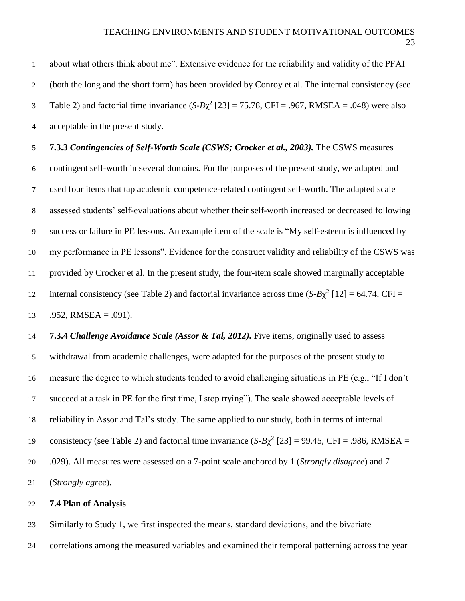about what others think about me". Extensive evidence for the reliability and validity of the PFAI (both the long and the short form) has been provided by Conroy et al. The internal consistency (see Table 2) and factorial time invariance  $(S-B\chi^2 [23] = 75.78$ , CFI = .967, RMSEA = .048) were also acceptable in the present study. **7.3.3** *Contingencies of Self-Worth Scale (CSWS; Crocker et al., 2003).* The CSWS measures contingent self-worth in several domains. For the purposes of the present study, we adapted and used four items that tap academic competence-related contingent self-worth. The adapted scale

assessed students' self-evaluations about whether their self-worth increased or decreased following

success or failure in PE lessons. An example item of the scale is "My self-esteem is influenced by

 my performance in PE lessons". Evidence for the construct validity and reliability of the CSWS was provided by Crocker et al. In the present study, the four-item scale showed marginally acceptable

internal consistency (see Table 2) and factorial invariance across time  $(S-B\chi^2 [12] = 64.74$ , CFI =

13 .952, RMSEA =  $.091$ ).

 **7.3.4** *Challenge Avoidance Scale (Assor & Tal, 2012).* Five items, originally used to assess withdrawal from academic challenges, were adapted for the purposes of the present study to measure the degree to which students tended to avoid challenging situations in PE (e.g., "If I don't succeed at a task in PE for the first time, I stop trying"). The scale showed acceptable levels of reliability in Assor and Tal's study. The same applied to our study, both in terms of internal consistency (see Table 2) and factorial time invariance  $(S-B\chi^2 [23] = 99.45, CFI = .986, RMSEA =$  .029). All measures were assessed on a 7-point scale anchored by 1 (*Strongly disagree*) and 7 (*Strongly agree*).

### **7.4 Plan of Analysis**

Similarly to Study 1, we first inspected the means, standard deviations, and the bivariate

correlations among the measured variables and examined their temporal patterning across the year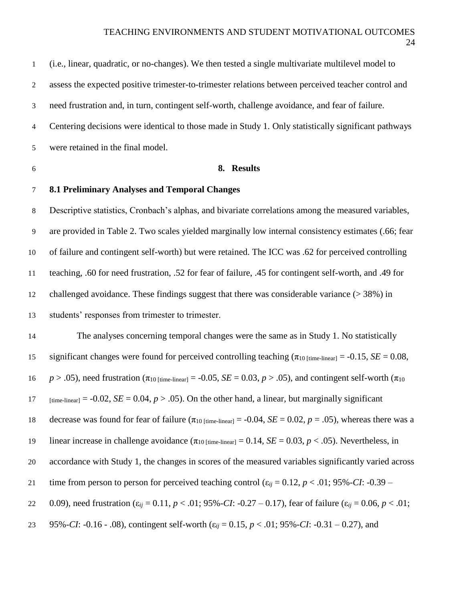(i.e., linear, quadratic, or no-changes). We then tested a single multivariate multilevel model to assess the expected positive trimester-to-trimester relations between perceived teacher control and need frustration and, in turn, contingent self-worth, challenge avoidance, and fear of failure. Centering decisions were identical to those made in Study 1. Only statistically significant pathways were retained in the final model.

### **8. Results**

## **8.1 Preliminary Analyses and Temporal Changes**

 Descriptive statistics, Cronbach's alphas, and bivariate correlations among the measured variables, are provided in Table 2. Two scales yielded marginally low internal consistency estimates (.66; fear of failure and contingent self-worth) but were retained. The ICC was .62 for perceived controlling teaching, .60 for need frustration, .52 for fear of failure, .45 for contingent self-worth, and .49 for challenged avoidance. These findings suggest that there was considerable variance (> 38%) in students' responses from trimester to trimester.

 The analyses concerning temporal changes were the same as in Study 1. No statistically 15 significant changes were found for perceived controlling teaching  $(\pi_{10 \text{ [time-linear]}} = -0.15, \text{ } SE = 0.08,$ 16 *p* > .05), need frustration ( $\pi_{10 \text{ [time-linear]}} = -0.05$ ,  $SE = 0.03$ ,  $p > .05$ ), and contingent self-worth ( $\pi_{10}$ ) 17 [time-linear] = -0.02, *SE* = 0.04,  $p > .05$ ). On the other hand, a linear, but marginally significant 18 decrease was found for fear of failure ( $\pi_{10 \text{ [time-linear]}} = -0.04$ , *SE* = 0.02, *p* = .05), whereas there was a 19 linear increase in challenge avoidance  $(\pi_{10 \text{ [time-linear]}} = 0.14, SE = 0.03, p < .05)$ . Nevertheless, in accordance with Study 1, the changes in scores of the measured variables significantly varied across 21 time from person to person for perceived teaching control  $(\epsilon_{ii} = 0.12, p < .01; 95\%$ -*CI*: -0.39 – 0.09), need frustration (ε*ij* = 0.11, *p* < .01; 95%-*CI*: -0.27 – 0.17), fear of failure (ε*ij* = 0.06, *p* < .01; 95%-*CI*: -0.16 - .08), contingent self-worth (ε*ij* = 0.15, *p* < .01; 95%-*CI*: -0.31 – 0.27), and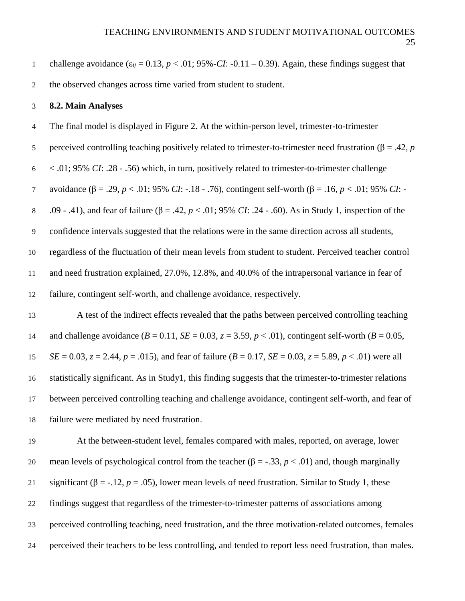1 challenge avoidance  $(\varepsilon_{ii} = 0.13, p < .01; 95\%$ -*CI*: -0.11 – 0.39). Again, these findings suggest that

the observed changes across time varied from student to student.

 **8.2. Main Analyses** The final model is displayed in Figure 2. At the within-person level, trimester-to-trimester 5 perceived controlling teaching positively related to trimester-to-trimester need frustration (β = .42, *p*  < .01; 95% *CI*: .28 - .56) which, in turn, positively related to trimester-to-trimester challenge avoidance (β = .29, *p* < .01; 95% *CI*: -.18 - .76), contingent self-worth (β = .16, *p* < .01; 95% *CI*: - .09 - .41), and fear of failure (β = .42, *p* < .01; 95% *CI*: .24 - .60). As in Study 1, inspection of the confidence intervals suggested that the relations were in the same direction across all students, regardless of the fluctuation of their mean levels from student to student. Perceived teacher control and need frustration explained, 27.0%, 12.8%, and 40.0% of the intrapersonal variance in fear of failure, contingent self-worth, and challenge avoidance, respectively. A test of the indirect effects revealed that the paths between perceived controlling teaching 14 and challenge avoidance  $(B = 0.11, SE = 0.03, z = 3.59, p < .01)$ , contingent self-worth  $(B = 0.05, z = 1.15, Z = 0.03, z = 3.59, z = .01)$ *SE* = 0.03,  $z = 2.44$ ,  $p = .015$ ), and fear of failure ( $B = 0.17$ ,  $SE = 0.03$ ,  $z = 5.89$ ,  $p < .01$ ) were all statistically significant. As in Study1, this finding suggests that the trimester-to-trimester relations between perceived controlling teaching and challenge avoidance, contingent self-worth, and fear of failure were mediated by need frustration. At the between-student level, females compared with males, reported, on average, lower 20 mean levels of psychological control from the teacher  $(\beta = -0.33, p < 0.01)$  and, though marginally 21 significant ( $\beta$  = -.12, *p* = .05), lower mean levels of need frustration. Similar to Study 1, these findings suggest that regardless of the trimester-to-trimester patterns of associations among perceived controlling teaching, need frustration, and the three motivation-related outcomes, females perceived their teachers to be less controlling, and tended to report less need frustration, than males.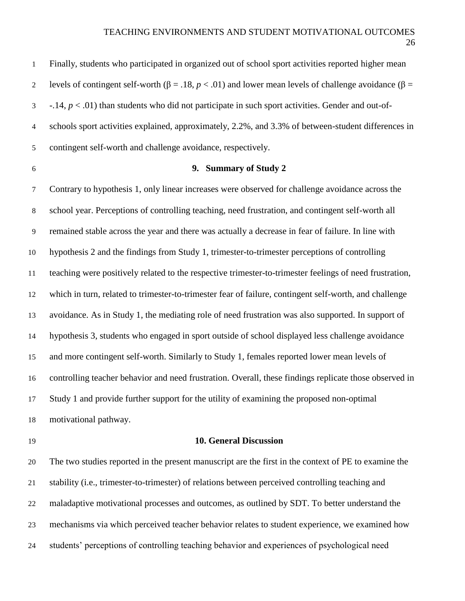| $\mathbf{1}$   | Finally, students who participated in organized out of school sport activities reported higher mean                    |
|----------------|------------------------------------------------------------------------------------------------------------------------|
| 2              | levels of contingent self-worth ( $\beta = .18$ , $p < .01$ ) and lower mean levels of challenge avoidance ( $\beta =$ |
| 3              | $-14$ , $p < .01$ ) than students who did not participate in such sport activities. Gender and out-of-                 |
| $\overline{4}$ | schools sport activities explained, approximately, 2.2%, and 3.3% of between-student differences in                    |
| 5              | contingent self-worth and challenge avoidance, respectively.                                                           |

## **9. Summary of Study 2**

 Contrary to hypothesis 1, only linear increases were observed for challenge avoidance across the school year. Perceptions of controlling teaching, need frustration, and contingent self-worth all remained stable across the year and there was actually a decrease in fear of failure. In line with hypothesis 2 and the findings from Study 1, trimester-to-trimester perceptions of controlling teaching were positively related to the respective trimester-to-trimester feelings of need frustration, which in turn, related to trimester-to-trimester fear of failure, contingent self-worth, and challenge avoidance. As in Study 1, the mediating role of need frustration was also supported. In support of hypothesis 3, students who engaged in sport outside of school displayed less challenge avoidance and more contingent self-worth. Similarly to Study 1, females reported lower mean levels of controlling teacher behavior and need frustration. Overall, these findings replicate those observed in Study 1 and provide further support for the utility of examining the proposed non-optimal motivational pathway.

### **10. General Discussion**

 The two studies reported in the present manuscript are the first in the context of PE to examine the stability (i.e., trimester-to-trimester) of relations between perceived controlling teaching and maladaptive motivational processes and outcomes, as outlined by SDT. To better understand the mechanisms via which perceived teacher behavior relates to student experience, we examined how students' perceptions of controlling teaching behavior and experiences of psychological need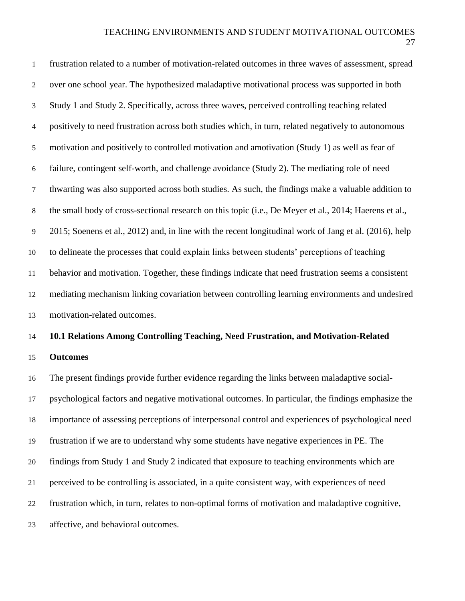| $\mathbf{1}$   | frustration related to a number of motivation-related outcomes in three waves of assessment, spread    |
|----------------|--------------------------------------------------------------------------------------------------------|
| $\overline{2}$ | over one school year. The hypothesized maladaptive motivational process was supported in both          |
| $\mathfrak{Z}$ | Study 1 and Study 2. Specifically, across three waves, perceived controlling teaching related          |
| $\overline{4}$ | positively to need frustration across both studies which, in turn, related negatively to autonomous    |
| 5              | motivation and positively to controlled motivation and amotivation (Study 1) as well as fear of        |
| 6              | failure, contingent self-worth, and challenge avoidance (Study 2). The mediating role of need          |
| $\tau$         | thwarting was also supported across both studies. As such, the findings make a valuable addition to    |
| $8\,$          | the small body of cross-sectional research on this topic (i.e., De Meyer et al., 2014; Haerens et al., |
| 9              | 2015; Soenens et al., 2012) and, in line with the recent longitudinal work of Jang et al. (2016), help |
| 10             | to delineate the processes that could explain links between students' perceptions of teaching          |
| 11             | behavior and motivation. Together, these findings indicate that need frustration seems a consistent    |
| 12             | mediating mechanism linking covariation between controlling learning environments and undesired        |
| 13             | motivation-related outcomes.                                                                           |
| 14             | 10.1 Relations Among Controlling Teaching, Need Frustration, and Motivation-Related                    |
| 15             | <b>Outcomes</b>                                                                                        |
| 16             | The present findings provide further evidence regarding the links between maladaptive social-          |
| 17             | psychological factors and negative motivational outcomes. In particular, the findings emphasize the    |
| 18             | importance of assessing perceptions of interpersonal control and experiences of psychological need     |
| 19             | frustration if we are to understand why some students have negative experiences in PE. The             |
| 20             | findings from Study 1 and Study 2 indicated that exposure to teaching environments which are           |
| 21             | perceived to be controlling is associated, in a quite consistent way, with experiences of need         |
| 22             | frustration which, in turn, relates to non-optimal forms of motivation and maladaptive cognitive,      |
| 23             | affective, and behavioral outcomes.                                                                    |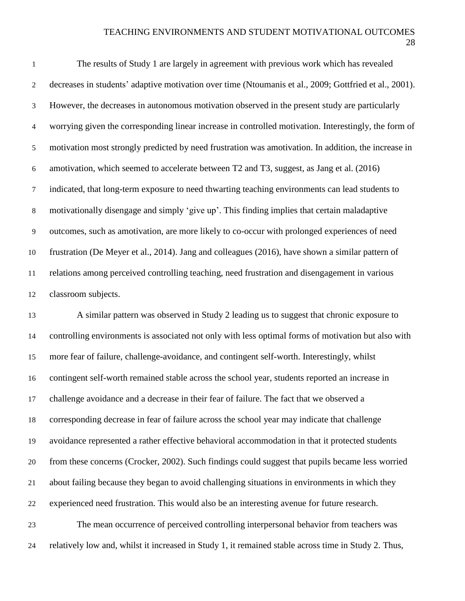### TEACHING ENVIRONMENTS AND STUDENT MOTIVATIONAL OUTCOMES

 The results of Study 1 are largely in agreement with previous work which has revealed decreases in students' adaptive motivation over time (Ntoumanis et al., 2009; Gottfried et al., 2001). However, the decreases in autonomous motivation observed in the present study are particularly worrying given the corresponding linear increase in controlled motivation. Interestingly, the form of motivation most strongly predicted by need frustration was amotivation. In addition, the increase in amotivation, which seemed to accelerate between T2 and T3, suggest, as Jang et al. (2016) indicated, that long-term exposure to need thwarting teaching environments can lead students to motivationally disengage and simply 'give up'. This finding implies that certain maladaptive outcomes, such as amotivation, are more likely to co-occur with prolonged experiences of need frustration (De Meyer et al., 2014). Jang and colleagues (2016), have shown a similar pattern of relations among perceived controlling teaching, need frustration and disengagement in various classroom subjects.

 A similar pattern was observed in Study 2 leading us to suggest that chronic exposure to controlling environments is associated not only with less optimal forms of motivation but also with more fear of failure, challenge-avoidance, and contingent self-worth. Interestingly, whilst contingent self-worth remained stable across the school year, students reported an increase in challenge avoidance and a decrease in their fear of failure. The fact that we observed a corresponding decrease in fear of failure across the school year may indicate that challenge avoidance represented a rather effective behavioral accommodation in that it protected students from these concerns (Crocker, 2002). Such findings could suggest that pupils became less worried about failing because they began to avoid challenging situations in environments in which they experienced need frustration. This would also be an interesting avenue for future research. The mean occurrence of perceived controlling interpersonal behavior from teachers was relatively low and, whilst it increased in Study 1, it remained stable across time in Study 2. Thus,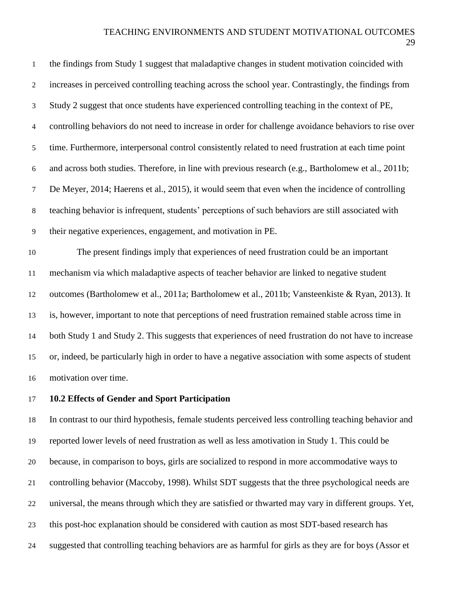the findings from Study 1 suggest that maladaptive changes in student motivation coincided with increases in perceived controlling teaching across the school year. Contrastingly, the findings from Study 2 suggest that once students have experienced controlling teaching in the context of PE, controlling behaviors do not need to increase in order for challenge avoidance behaviors to rise over time. Furthermore, interpersonal control consistently related to need frustration at each time point and across both studies. Therefore, in line with previous research (e.g., Bartholomew et al., 2011b; De Meyer, 2014; Haerens et al., 2015), it would seem that even when the incidence of controlling teaching behavior is infrequent, students' perceptions of such behaviors are still associated with their negative experiences, engagement, and motivation in PE. The present findings imply that experiences of need frustration could be an important mechanism via which maladaptive aspects of teacher behavior are linked to negative student outcomes (Bartholomew et al., 2011a; Bartholomew et al., 2011b; Vansteenkiste & Ryan, 2013). It is, however, important to note that perceptions of need frustration remained stable across time in both Study 1 and Study 2. This suggests that experiences of need frustration do not have to increase or, indeed, be particularly high in order to have a negative association with some aspects of student

motivation over time.

### **10.2 Effects of Gender and Sport Participation**

 In contrast to our third hypothesis, female students perceived less controlling teaching behavior and reported lower levels of need frustration as well as less amotivation in Study 1. This could be because, in comparison to boys, girls are socialized to respond in more accommodative ways to controlling behavior (Maccoby, 1998). Whilst SDT suggests that the three psychological needs are universal, the means through which they are satisfied or thwarted may vary in different groups. Yet, this post-hoc explanation should be considered with caution as most SDT-based research has suggested that controlling teaching behaviors are as harmful for girls as they are for boys (Assor et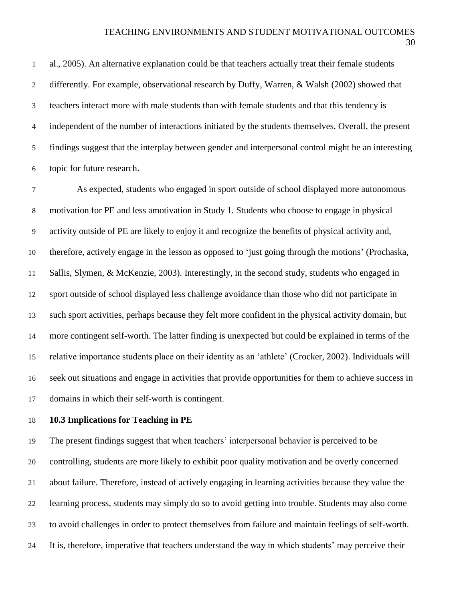### TEACHING ENVIRONMENTS AND STUDENT MOTIVATIONAL OUTCOMES

 al., 2005). An alternative explanation could be that teachers actually treat their female students differently. For example, observational research by Duffy, Warren, & Walsh (2002) showed that teachers interact more with male students than with female students and that this tendency is independent of the number of interactions initiated by the students themselves. Overall, the present findings suggest that the interplay between gender and interpersonal control might be an interesting topic for future research.

 As expected, students who engaged in sport outside of school displayed more autonomous motivation for PE and less amotivation in Study 1. Students who choose to engage in physical activity outside of PE are likely to enjoy it and recognize the benefits of physical activity and, therefore, actively engage in the lesson as opposed to 'just going through the motions' (Prochaska, Sallis, Slymen, & McKenzie, 2003). Interestingly, in the second study, students who engaged in sport outside of school displayed less challenge avoidance than those who did not participate in such sport activities, perhaps because they felt more confident in the physical activity domain, but more contingent self-worth. The latter finding is unexpected but could be explained in terms of the relative importance students place on their identity as an 'athlete' (Crocker, 2002). Individuals will seek out situations and engage in activities that provide opportunities for them to achieve success in domains in which their self-worth is contingent.

### **10.3 Implications for Teaching in PE**

 The present findings suggest that when teachers' interpersonal behavior is perceived to be controlling, students are more likely to exhibit poor quality motivation and be overly concerned about failure. Therefore, instead of actively engaging in learning activities because they value the learning process, students may simply do so to avoid getting into trouble. Students may also come to avoid challenges in order to protect themselves from failure and maintain feelings of self-worth. It is, therefore, imperative that teachers understand the way in which students' may perceive their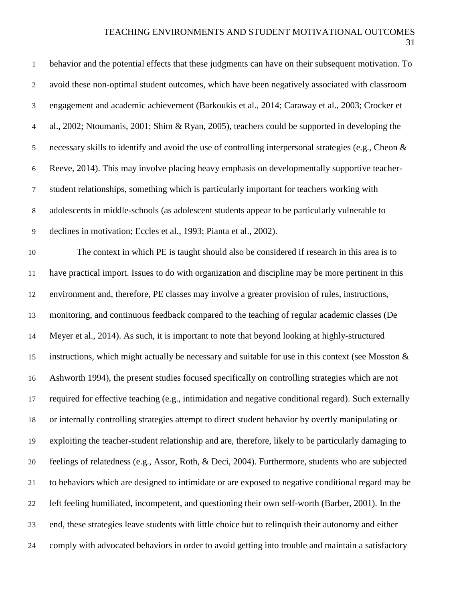| $\mathbf{1}$     | behavior and the potential effects that these judgments can have on their subsequent motivation. To    |
|------------------|--------------------------------------------------------------------------------------------------------|
| $\boldsymbol{2}$ | avoid these non-optimal student outcomes, which have been negatively associated with classroom         |
| $\mathfrak{Z}$   | engagement and academic achievement (Barkoukis et al., 2014; Caraway et al., 2003; Crocker et          |
| $\overline{4}$   | al., 2002; Ntoumanis, 2001; Shim & Ryan, 2005), teachers could be supported in developing the          |
| $\sqrt{5}$       | necessary skills to identify and avoid the use of controlling interpersonal strategies (e.g., Cheon &  |
| $\boldsymbol{6}$ | Reeve, 2014). This may involve placing heavy emphasis on developmentally supportive teacher-           |
| $\boldsymbol{7}$ | student relationships, something which is particularly important for teachers working with             |
| $\,8\,$          | adolescents in middle-schools (as adolescent students appear to be particularly vulnerable to          |
| $\overline{9}$   | declines in motivation; Eccles et al., 1993; Pianta et al., 2002).                                     |
| 10               | The context in which PE is taught should also be considered if research in this area is to             |
| 11               | have practical import. Issues to do with organization and discipline may be more pertinent in this     |
| 12               | environment and, therefore, PE classes may involve a greater provision of rules, instructions,         |
| 13               | monitoring, and continuous feedback compared to the teaching of regular academic classes (De           |
| 14               | Meyer et al., 2014). As such, it is important to note that beyond looking at highly-structured         |
| 15               | instructions, which might actually be necessary and suitable for use in this context (see Mosston $\&$ |
| 16               | Ashworth 1994), the present studies focused specifically on controlling strategies which are not       |
| 17               | required for effective teaching (e.g., intimidation and negative conditional regard). Such externally  |
| 18               | or internally controlling strategies attempt to direct student behavior by overtly manipulating or     |
| 19               | exploiting the teacher-student relationship and are, therefore, likely to be particularly damaging to  |
| 20               | feelings of relatedness (e.g., Assor, Roth, & Deci, 2004). Furthermore, students who are subjected     |
| 21               | to behaviors which are designed to intimidate or are exposed to negative conditional regard may be     |
| 22               | left feeling humiliated, incompetent, and questioning their own self-worth (Barber, 2001). In the      |
| 23               | end, these strategies leave students with little choice but to relinquish their autonomy and either    |
| 24               | comply with advocated behaviors in order to avoid getting into trouble and maintain a satisfactory     |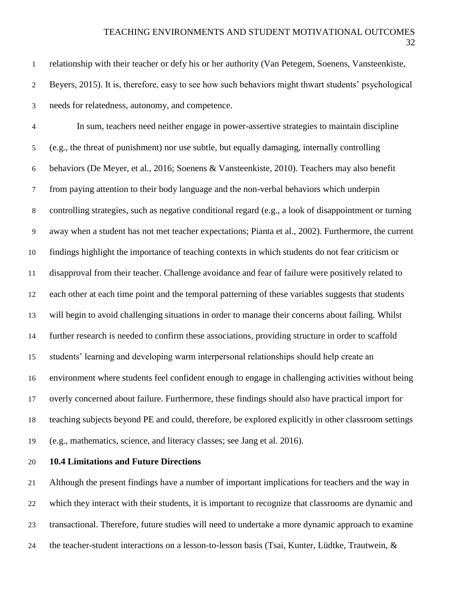relationship with their teacher or defy his or her authority (Van Petegem, Soenens, Vansteenkiste, Beyers, 2015). It is, therefore, easy to see how such behaviors might thwart students' psychological needs for relatedness, autonomy, and competence. In sum, teachers need neither engage in power-assertive strategies to maintain discipline (e.g., the threat of punishment) nor use subtle, but equally damaging, internally controlling behaviors (De Meyer, et al., 2016; Soenens & Vansteenkiste, 2010). Teachers may also benefit from paying attention to their body language and the non-verbal behaviors which underpin controlling strategies, such as negative conditional regard (e.g., a look of disappointment or turning away when a student has not met teacher expectations; Pianta et al., 2002). Furthermore, the current findings highlight the importance of teaching contexts in which students do not fear criticism or disapproval from their teacher. Challenge avoidance and fear of failure were positively related to each other at each time point and the temporal patterning of these variables suggests that students will begin to avoid challenging situations in order to manage their concerns about failing. Whilst further research is needed to confirm these associations, providing structure in order to scaffold students' learning and developing warm interpersonal relationships should help create an environment where students feel confident enough to engage in challenging activities without being overly concerned about failure. Furthermore, these findings should also have practical import for teaching subjects beyond PE and could, therefore, be explored explicitly in other classroom settings (e.g., mathematics, science, and literacy classes; see Jang et al. 2016).

**10.4 Limitations and Future Directions**

 Although the present findings have a number of important implications for teachers and the way in which they interact with their students, it is important to recognize that classrooms are dynamic and transactional. Therefore, future studies will need to undertake a more dynamic approach to examine the teacher-student interactions on a lesson-to-lesson basis (Tsai, Kunter, Lüdtke, Trautwein, &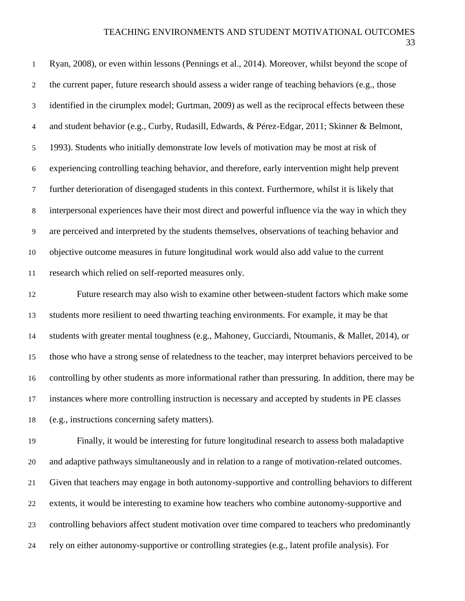| $\mathbf{1}$   | Ryan, 2008), or even within lessons (Pennings et al., 2014). Moreover, whilst beyond the scope of     |
|----------------|-------------------------------------------------------------------------------------------------------|
| $\overline{2}$ | the current paper, future research should assess a wider range of teaching behaviors (e.g., those     |
| 3              | identified in the cirumplex model; Gurtman, 2009) as well as the reciprocal effects between these     |
| $\overline{4}$ | and student behavior (e.g., Curby, Rudasill, Edwards, & Pérez-Edgar, 2011; Skinner & Belmont,         |
| 5              | 1993). Students who initially demonstrate low levels of motivation may be most at risk of             |
| 6              | experiencing controlling teaching behavior, and therefore, early intervention might help prevent      |
| $\tau$         | further deterioration of disengaged students in this context. Furthermore, whilst it is likely that   |
| $8\,$          | interpersonal experiences have their most direct and powerful influence via the way in which they     |
| 9              | are perceived and interpreted by the students themselves, observations of teaching behavior and       |
| 10             | objective outcome measures in future longitudinal work would also add value to the current            |
| 11             | research which relied on self-reported measures only.                                                 |
| 12             | Future research may also wish to examine other between-student factors which make some                |
| 13             | students more resilient to need thwarting teaching environments. For example, it may be that          |
| 14             | students with greater mental toughness (e.g., Mahoney, Gucciardi, Ntoumanis, & Mallet, 2014), or      |
| 15             | those who have a strong sense of relatedness to the teacher, may interpret behaviors perceived to be  |
| 16             | controlling by other students as more informational rather than pressuring. In addition, there may be |
| 17             | instances where more controlling instruction is necessary and accepted by students in PE classes      |
| 18             | (e.g., instructions concerning safety matters).                                                       |
| 19             | Finally, it would be interesting for future longitudinal research to assess both maladaptive          |
| $20\,$         | and adaptive pathways simultaneously and in relation to a range of motivation-related outcomes.       |
| 21             | Given that teachers may engage in both autonomy-supportive and controlling behaviors to different     |
| 22             | extents, it would be interesting to examine how teachers who combine autonomy-supportive and          |
| 23             | controlling behaviors affect student motivation over time compared to teachers who predominantly      |
| 24             | rely on either autonomy-supportive or controlling strategies (e.g., latent profile analysis). For     |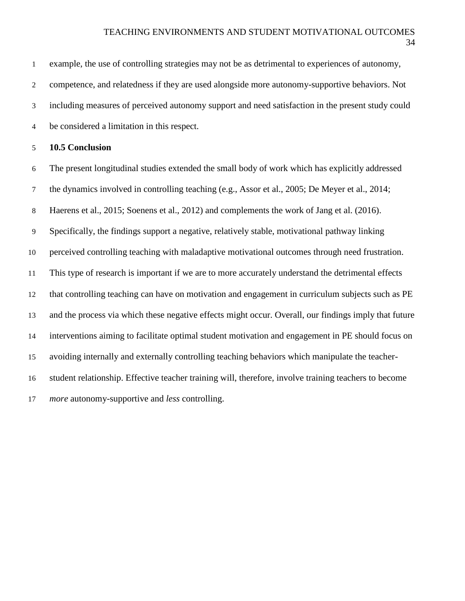| 1              | example, the use of controlling strategies may not be as detrimental to experiences of autonomy,      |
|----------------|-------------------------------------------------------------------------------------------------------|
| 2              | competence, and relatedness if they are used alongside more autonomy-supportive behaviors. Not        |
| 3              | including measures of perceived autonomy support and need satisfaction in the present study could     |
| $\overline{4}$ | be considered a limitation in this respect.                                                           |
| 5              | <b>10.5 Conclusion</b>                                                                                |
| 6              | The present longitudinal studies extended the small body of work which has explicitly addressed       |
| $\tau$         | the dynamics involved in controlling teaching (e.g., Assor et al., 2005; De Meyer et al., 2014;       |
| 8              | Haerens et al., 2015; Soenens et al., 2012) and complements the work of Jang et al. (2016).           |
| 9              | Specifically, the findings support a negative, relatively stable, motivational pathway linking        |
| 10             | perceived controlling teaching with maladaptive motivational outcomes through need frustration.       |
| 11             | This type of research is important if we are to more accurately understand the detrimental effects    |
| 12             | that controlling teaching can have on motivation and engagement in curriculum subjects such as PE     |
| 13             | and the process via which these negative effects might occur. Overall, our findings imply that future |
| 14             | interventions aiming to facilitate optimal student motivation and engagement in PE should focus on    |
| 15             | avoiding internally and externally controlling teaching behaviors which manipulate the teacher-       |
| 16             | student relationship. Effective teacher training will, therefore, involve training teachers to become |
| 17             | <i>more</i> autonomy-supportive and less controlling.                                                 |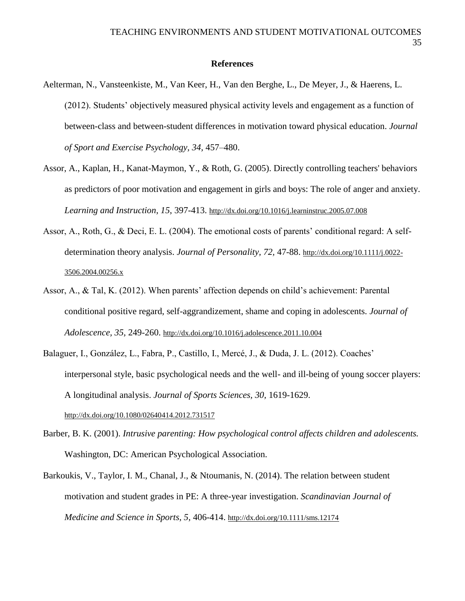### **References**

- Aelterman, N., Vansteenkiste, M., Van Keer, H., Van den Berghe, L., De Meyer, J., & Haerens, L. (2012). Students' objectively measured physical activity levels and engagement as a function of between-class and between-student differences in motivation toward physical education. *Journal of Sport and Exercise Psychology, 34,* 457–480.
- Assor, A., Kaplan, H., Kanat-Maymon, Y., & Roth, G. (2005). Directly controlling teachers' behaviors as predictors of poor motivation and engagement in girls and boys: The role of anger and anxiety. *Learning and Instruction*, *15*, 397-413. <http://dx.doi.org/10.1016/j.learninstruc.2005.07.008>
- Assor, A., Roth, G., & Deci, E. L. (2004). The emotional costs of parents' conditional regard: A selfdetermination theory analysis. *Journal of Personality, 72,* 47-88. [http://dx.doi.org/10.1111/j.0022-](http://dx.doi.org/10.1111/j.0022-3506.2004.00256.x) [3506.2004.00256.x](http://dx.doi.org/10.1111/j.0022-3506.2004.00256.x)
- Assor, A., & Tal, K. (2012). When parents' affection depends on child's achievement: Parental conditional positive regard, self-aggrandizement, shame and coping in adolescents. *Journal of Adolescence, 35,* 249-260. <http://dx.doi.org/10.1016/j.adolescence.2011.10.004>
- Balaguer, I., González, L., Fabra, P., Castillo, I., Mercé, J., & Duda, J. L. (2012). Coaches' interpersonal style, basic psychological needs and the well- and ill-being of young soccer players: A longitudinal analysis. *Journal of Sports Sciences, 30,* 1619-1629. <http://dx.doi.org/10.1080/02640414.2012.731517>
- Barber, B. K. (2001). *Intrusive parenting: How psychological control affects children and adolescents.*  Washington, DC: American Psychological Association.
- Barkoukis, V., Taylor, I. M., Chanal, J., & Ntoumanis, N. (2014). The relation between student motivation and student grades in PE: A three-year investigation. *Scandinavian Journal of Medicine and Science in Sports, 5,* 406-414. <http://dx.doi.org/10.1111/sms.12174>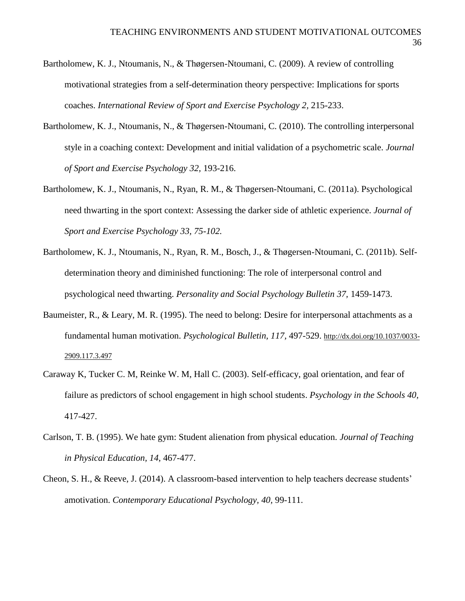- Bartholomew, K. J., Ntoumanis, N., & Thøgersen-Ntoumani, C. (2009). A review of controlling motivational strategies from a self-determination theory perspective: Implications for sports coaches. *International Review of Sport and Exercise Psychology 2,* 215-233.
- Bartholomew, K. J., Ntoumanis, N., & Thøgersen-Ntoumani, C. (2010). The controlling interpersonal style in a coaching context: Development and initial validation of a psychometric scale. *Journal of Sport and Exercise Psychology 32,* 193-216.
- Bartholomew, K. J., Ntoumanis, N., Ryan, R. M., & Thøgersen-Ntoumani, C. (2011a). Psychological need thwarting in the sport context: Assessing the darker side of athletic experience. *Journal of Sport and Exercise Psychology 33, 75-102.*
- Bartholomew, K. J., Ntoumanis, N., Ryan, R. M., Bosch, J., & Thøgersen-Ntoumani, C. (2011b). Selfdetermination theory and diminished functioning: The role of interpersonal control and psychological need thwarting. *Personality and Social Psychology Bulletin 37,* 1459-1473.
- Baumeister, R., & Leary, M. R. (1995). The need to belong: Desire for interpersonal attachments as a fundamental human motivation. *Psychological Bulletin, 117,* 497-529. [http://dx.doi.org/10.1037/0033-](http://dx.doi.org/10.1037/0033-2909.117.3.497) [2909.117.3.497](http://dx.doi.org/10.1037/0033-2909.117.3.497)
- Caraway K, Tucker C. M, Reinke W. M, Hall C. (2003). Self‐efficacy, goal orientation, and fear of failure as predictors of school engagement in high school students. *Psychology in the Schools 40,* 417-427.
- Carlson, T. B. (1995). We hate gym: Student alienation from physical education. *Journal of Teaching in Physical Education, 14*, 467-477.
- Cheon, S. H., & Reeve, J. (2014). A classroom-based intervention to help teachers decrease students' amotivation. *Contemporary Educational Psychology, 40,* 99-111.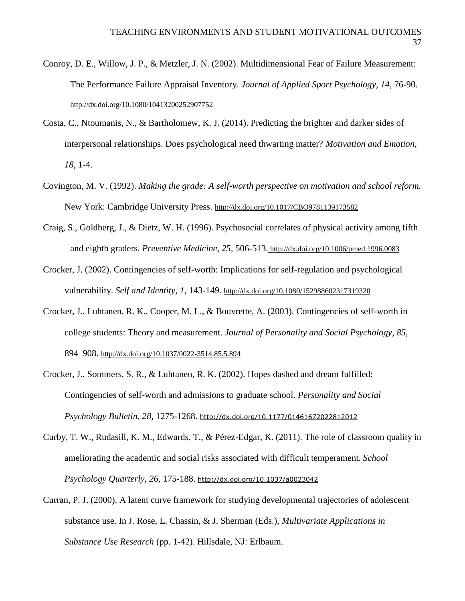- Conroy, D. E., Willow, J. P., & Metzler, J. N. (2002). Multidimensional Fear of Failure Measurement: The Performance Failure Appraisal Inventory. *Journal of Applied Sport Psychology, 14*, 76-90. <http://dx.doi.org/10.1080/10413200252907752>
- Costa, C., Ntoumanis, N., & Bartholomew, K. J. (2014). Predicting the brighter and darker sides of interpersonal relationships. Does psychological need thwarting matter? *Motivation and Emotion, 18,* 1-4.
- Covington, M. V. (1992). *Making the grade: A self-worth perspective on motivation and school reform.* New York: Cambridge University Press. <http://dx.doi.org/10.1017/CBO9781139173582>
- Craig, S., Goldberg, J., & Dietz, W. H. (1996). Psychosocial correlates of physical activity among fifth and eighth graders. *Preventive Medicine, 25,* 506-513. <http://dx.doi.org/10.1006/pmed.1996.0083>
- Crocker, J. (2002). Contingencies of self-worth: Implications for self-regulation and psychological vulnerability. *Self and Identity, 1,* 143-149. <http://dx.doi.org/10.1080/152988602317319320>
- Crocker, J., Luhtanen, R. K., Cooper, M. L., & Bouvrette, A. (2003). Contingencies of self-worth in college students: Theory and measurement. *Journal of Personality and Social Psychology, 85,* 894–908. <http://dx.doi.org/10.1037/0022-3514.85.5.894>
- Crocker, J., Sommers, S. R., & Luhtanen, R. K. (2002). Hopes dashed and dream fulfilled: Contingencies of self-worth and admissions to graduate school. *Personality and Social Psychology Bulletin, 28,* 1275-1268. <http://dx.doi.org/10.1177/01461672022812012>
- Curby, T. W., Rudasill, K. M., Edwards, T., & Pérez-Edgar, K. (2011). The role of classroom quality in ameliorating the academic and social risks associated with difficult temperament. *School Psychology Quarterly, 26,* 175-188. <http://dx.doi.org/10.1037/a0023042>
- Curran, P. J. (2000). A latent curve framework for studying developmental trajectories of adolescent substance use. In J. Rose, L. Chassin, & J. Sherman (Eds.), *Multivariate Applications in Substance Use Research* (pp. 1-42). Hillsdale, NJ: Erlbaum.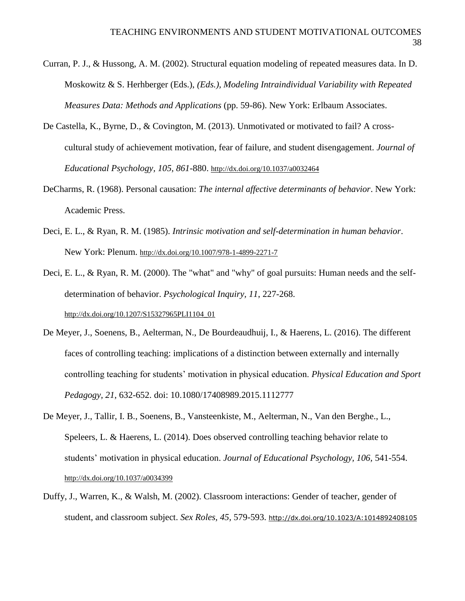- Curran, P. J., & Hussong, A. M. (2002). Structural equation modeling of repeated measures data. In D. Moskowitz & S. Herhberger (Eds.), *(Eds.), Modeling Intraindividual Variability with Repeated Measures Data: Methods and Applications* (pp. 59-86). New York: Erlbaum Associates.
- De Castella, K., Byrne, D., & Covington, M. (2013). Unmotivated or motivated to fail? A crosscultural study of achievement motivation, fear of failure, and student disengagement. *Journal of Educational Psychology, 105, 861*-880. <http://dx.doi.org/10.1037/a0032464>
- DeCharms, R. (1968). Personal causation: *The internal affective determinants of behavior*. New York: Academic Press.
- Deci, E. L., & Ryan, R. M. (1985). *Intrinsic motivation and self-determination in human behavior*. New York: Plenum. <http://dx.doi.org/10.1007/978-1-4899-2271-7>
- Deci, E. L., & Ryan, R. M. (2000). The "what" and "why" of goal pursuits: Human needs and the selfdetermination of behavior. *Psychological Inquiry, 11*, 227-268. [http://dx.doi.org/10.1207/S15327965PLI1104\\_01](http://dx.doi.org/10.1207/S15327965PLI1104_01)
- De Meyer, J., Soenens, B., Aelterman, N., De Bourdeaudhuij, I., & Haerens, L. (2016). The different faces of controlling teaching: implications of a distinction between externally and internally controlling teaching for students' motivation in physical education. *Physical Education and Sport Pedagogy, 21*, 632-652. doi: 10.1080/17408989.2015.1112777
- De Meyer, J., Tallir, I. B., Soenens, B., Vansteenkiste, M., Aelterman, N., Van den Berghe., L., Speleers, L. & Haerens, L. (2014). Does observed controlling teaching behavior relate to students' motivation in physical education. *Journal of Educational Psychology, 106,* 541-554. <http://dx.doi.org/10.1037/a0034399>
- Duffy, J., Warren, K., & Walsh, M. (2002). Classroom interactions: Gender of teacher, gender of student, and classroom subject. *Sex Roles, 45,* 579-593. <http://dx.doi.org/10.1023/A:1014892408105>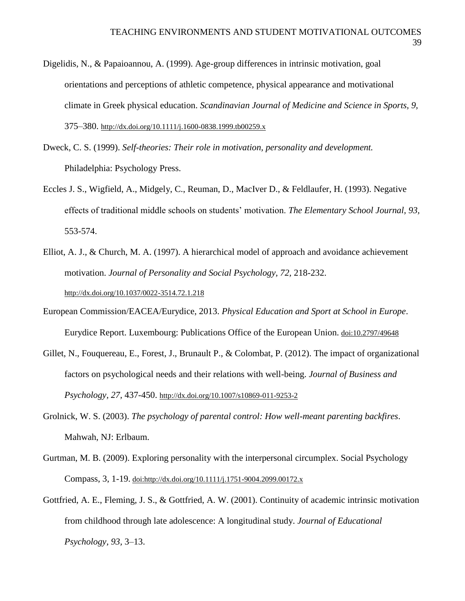- Digelidis, N., & Papaioannou, A. (1999). Age-group differences in intrinsic motivation, goal orientations and perceptions of athletic competence, physical appearance and motivational climate in Greek physical education. *Scandinavian Journal of Medicine and Science in Sports, 9,*  375–380. <http://dx.doi.org/10.1111/j.1600-0838.1999.tb00259.x>
- Dweck, C. S. (1999). *Self-theories: Their role in motivation, personality and development.* Philadelphia: Psychology Press.
- Eccles J. S., Wigfield, A., Midgely, C., Reuman, D., MacIver D., & Feldlaufer, H. (1993). Negative effects of traditional middle schools on students' motivation. *The Elementary School Journal, 93,* 553-574.
- Elliot, A. J., & Church, M. A. (1997). A hierarchical model of approach and avoidance achievement motivation. *Journal of Personality and Social Psychology, 72,* 218-232. <http://dx.doi.org/10.1037/0022-3514.72.1.218>
- European Commission/EACEA/Eurydice, 2013. *Physical Education and Sport at School in Europe*. Eurydice Report. Luxembourg: Publications Office of the European Union. doi:10.2797/49648
- Gillet, N., Fouquereau, E., Forest, J., Brunault P., & Colombat, P. (2012). The impact of organizational factors on psychological needs and their relations with well-being. *Journal of Business and Psychology, 27,* 437-450. <http://dx.doi.org/10.1007/s10869-011-9253-2>
- Grolnick, W. S. (2003). *The psychology of parental control: How well-meant parenting backfires*. Mahwah, NJ: Erlbaum.
- Gurtman, M. B. (2009). Exploring personality with the interpersonal circumplex. Social Psychology Compass, 3, 1-19. doi:http://dx.doi.org/10.1111/j.1751-9004.2099.00172.x
- Gottfried, A. E., Fleming, J. S., & Gottfried, A. W. (2001). Continuity of academic intrinsic motivation from childhood through late adolescence: A longitudinal study. *Journal of Educational Psychology, 93,* 3–13.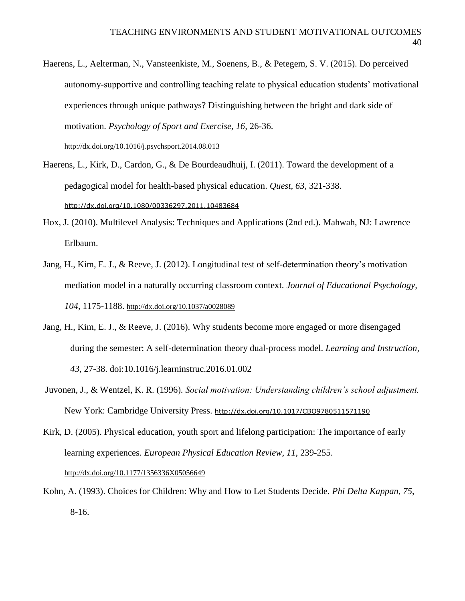Haerens, L., Aelterman, N., Vansteenkiste, M., Soenens, B., & Petegem, S. V. (2015). Do perceived autonomy-supportive and controlling teaching relate to physical education students' motivational experiences through unique pathways? Distinguishing between the bright and dark side of motivation. *Psychology of Sport and Exercise, 16,* 26-36. <http://dx.doi.org/10.1016/j.psychsport.2014.08.013>

Haerens, L., Kirk, D., Cardon, G., & De Bourdeaudhuij, I. (2011). Toward the development of a pedagogical model for health-based physical education. *Quest, 63,* 321-338. <http://dx.doi.org/10.1080/00336297.2011.10483684>

- Hox, J. (2010). Multilevel Analysis: Techniques and Applications (2nd ed.). Mahwah, NJ: Lawrence Erlbaum.
- Jang, H., Kim, E. J., & Reeve, J. (2012). Longitudinal test of self-determination theory's motivation mediation model in a naturally occurring classroom context. *Journal of Educational Psychology, 104,* 1175-1188. <http://dx.doi.org/10.1037/a0028089>
- Jang, H., Kim, E. J., & Reeve, J. (2016). Why students become more engaged or more disengaged during the semester: A self-determination theory dual-process model. *Learning and Instruction, 43*, 27-38. doi:10.1016/j.learninstruc.2016.01.002
- Juvonen, J., & Wentzel, K. R. (1996). *Social motivation: Understanding children's school adjustment.* New York: Cambridge University Press. <http://dx.doi.org/10.1017/CBO9780511571190>

Kirk, D. (2005). Physical education, youth sport and lifelong participation: The importance of early learning experiences. *European Physical Education Review, 11,* 239-255. <http://dx.doi.org/10.1177/1356336X05056649>

Kohn, A. (1993). Choices for Children: Why and How to Let Students Decide. *Phi Delta Kappan*, *75*, 8-16.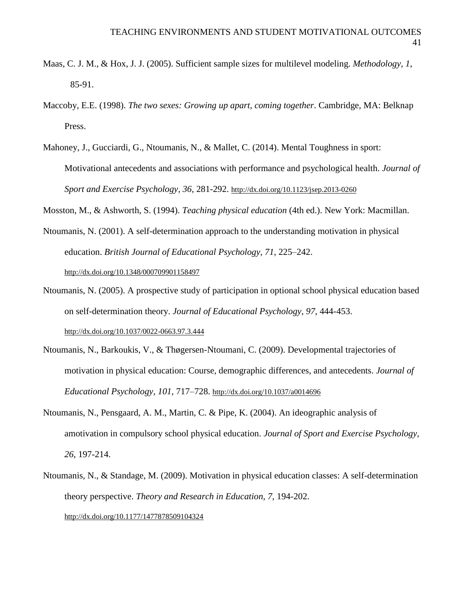- Maas, C. J. M., & Hox, J. J. (2005). Sufficient sample sizes for multilevel modeling. *Methodology, 1*, 85-91.
- Maccoby, E.E. (1998). *The two sexes: Growing up apart, coming together*. Cambridge, MA: Belknap Press.
- Mahoney, J., Gucciardi, G., Ntoumanis, N., & Mallet, C. (2014). Mental Toughness in sport: Motivational antecedents and associations with performance and psychological health. *Journal of Sport and Exercise Psychology, 36,* 281-292. <http://dx.doi.org/10.1123/jsep.2013-0260>

Mosston, M., & Ashworth, S. (1994). *Teaching physical education* (4th ed.). New York: Macmillan.

- Ntoumanis, N. (2001). A self-determination approach to the understanding motivation in physical education. *British Journal of Educational Psychology, 71,* 225–242. <http://dx.doi.org/10.1348/000709901158497>
- Ntoumanis, N. (2005). A prospective study of participation in optional school physical education based on self-determination theory. *Journal of Educational Psychology*, *97*, 444-453. <http://dx.doi.org/10.1037/0022-0663.97.3.444>
- Ntoumanis, N., Barkoukis, V., & Thøgersen-Ntoumani, C. (2009). Developmental trajectories of motivation in physical education: Course, demographic differences, and antecedents. *Journal of Educational Psychology, 101,* 717–728. <http://dx.doi.org/10.1037/a0014696>
- Ntoumanis, N., Pensgaard, A. M., Martin, C. & Pipe, K. (2004). An ideographic analysis of amotivation in compulsory school physical education. *Journal of Sport and Exercise Psychology, 26*, 197-214.
- Ntoumanis, N., & Standage, M. (2009). Motivation in physical education classes: A self-determination theory perspective. *Theory and Research in Education, 7,* 194-202. <http://dx.doi.org/10.1177/1477878509104324>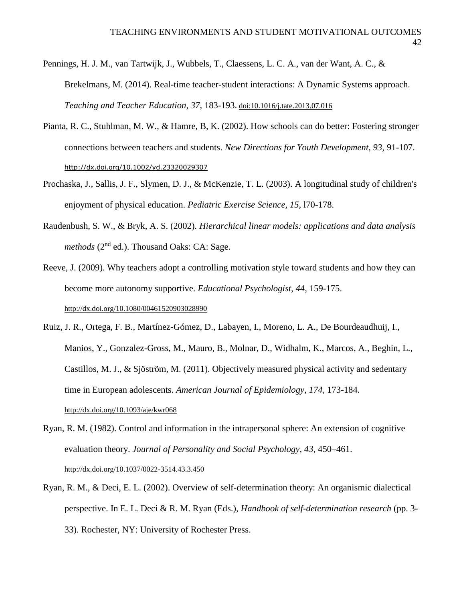- Pennings, H. J. M., van Tartwijk, J., Wubbels, T., Claessens, L. C. A., van der Want, A. C., & Brekelmans, M. (2014). Real-time teacher-student interactions: A Dynamic Systems approach. *Teaching and Teacher Education, 37*, 183-193. doi:10.1016/j.tate.2013.07.016
- Pianta, R. C., Stuhlman, M. W., & Hamre, B, K. (2002). How schools can do better: Fostering stronger connections between teachers and students. *New Directions for Youth Development, 93,* 91-107. <http://dx.doi.org/10.1002/yd.23320029307>
- Prochaska, J., Sallis, J. F., Slymen, D. J., & McKenzie, T. L. (2003). A longitudinal study of children's enjoyment of physical education. *Pediatric Exercise Science, 15,* l70-178.
- Raudenbush, S. W., & Bryk, A. S. (2002). *Hierarchical linear models: applications and data analysis methods* (2<sup>nd</sup> ed.). Thousand Oaks: CA: Sage.
- Reeve, J. (2009). Why teachers adopt a controlling motivation style toward students and how they can become more autonomy supportive. *Educational Psychologist, 44,* 159-175. <http://dx.doi.org/10.1080/00461520903028990>
- Ruiz, J. R., Ortega, F. B., Martínez-Gómez, D., Labayen, I., Moreno, L. A., De Bourdeaudhuij, I., Manios, Y., Gonzalez-Gross, M., Mauro, B., Molnar, D., Widhalm, K., Marcos, A., Beghin, L., Castillos, M. J., & Sjöström, M. (2011). Objectively measured physical activity and sedentary time in European adolescents. *American Journal of Epidemiology, 174,* 173-184. <http://dx.doi.org/10.1093/aje/kwr068>
- Ryan, R. M. (1982). Control and information in the intrapersonal sphere: An extension of cognitive evaluation theory. *Journal of Personality and Social Psychology, 43,* 450–461. <http://dx.doi.org/10.1037/0022-3514.43.3.450>
- Ryan, R. M., & Deci, E. L. (2002). Overview of self-determination theory: An organismic dialectical perspective. In E. L. Deci & R. M. Ryan (Eds.), *Handbook of self-determination research* (pp. 3- 33)*.* Rochester, NY: University of Rochester Press.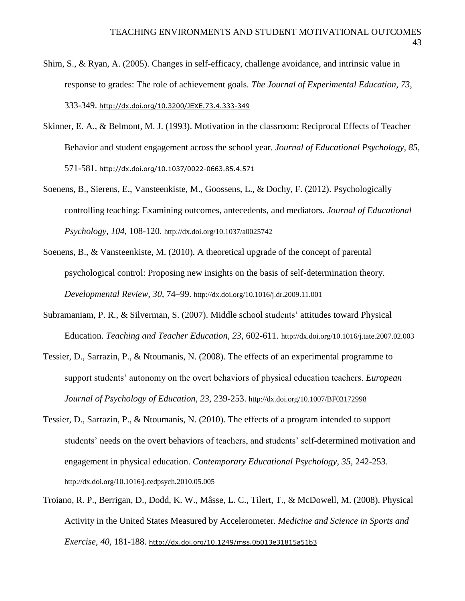- Shim, S., & Ryan, A. (2005). Changes in self-efficacy, challenge avoidance, and intrinsic value in response to grades: The role of achievement goals. *The Journal of Experimental Education, 73,* 333-349. <http://dx.doi.org/10.3200/JEXE.73.4.333-349>
- Skinner, E. A., & Belmont, M. J. (1993). Motivation in the classroom: Reciprocal Effects of Teacher Behavior and student engagement across the school year. *Journal of Educational Psychology, 85,* 571-581. <http://dx.doi.org/10.1037/0022-0663.85.4.571>
- Soenens, B., Sierens, E., Vansteenkiste, M., Goossens, L., & Dochy, F. (2012). Psychologically controlling teaching: Examining outcomes, antecedents, and mediators. *Journal of Educational Psychology*, *104*, 108-120. <http://dx.doi.org/10.1037/a0025742>
- Soenens, B., & Vansteenkiste, M. (2010). A theoretical upgrade of the concept of parental psychological control: Proposing new insights on the basis of self-determination theory. *Developmental Review, 30,* 74–99. <http://dx.doi.org/10.1016/j.dr.2009.11.001>
- Subramaniam, P. R., & Silverman, S. (2007). Middle school students' attitudes toward Physical Education. *Teaching and Teacher Education, 23*, 602-611. http://dx.doi.org/10.1016/j.tate.2007.02.003
- Tessier, D., Sarrazin, P., & Ntoumanis, N. (2008). The effects of an experimental programme to support students' autonomy on the overt behaviors of physical education teachers. *European Journal of Psychology of Education, 23,* 239-253. <http://dx.doi.org/10.1007/BF03172998>
- Tessier, D., Sarrazin, P., & Ntoumanis, N. (2010). The effects of a program intended to support students' needs on the overt behaviors of teachers, and students' self-determined motivation and engagement in physical education. *Contemporary Educational Psychology, 35,* 242-253. <http://dx.doi.org/10.1016/j.cedpsych.2010.05.005>
- Troiano, R. P., Berrigan, D., Dodd, K. W., Mâsse, L. C., Tilert, T., & McDowell, M. (2008). Physical Activity in the United States Measured by Accelerometer. *Medicine and Science in Sports and Exercise, 40,* 181-188. <http://dx.doi.org/10.1249/mss.0b013e31815a51b3>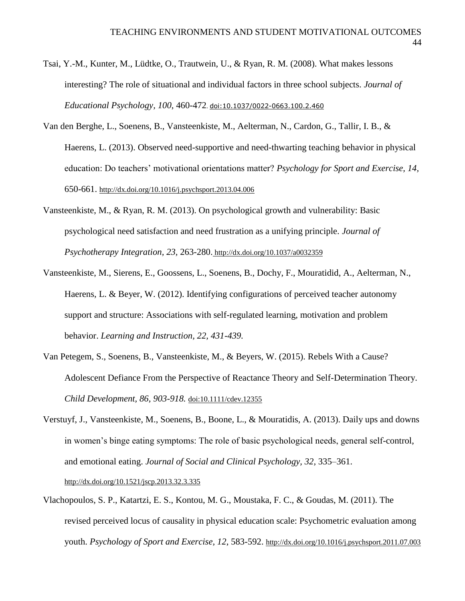- Tsai, Y.-M., Kunter, M., Lüdtke, O., Trautwein, U., & Ryan, R. M. (2008). What makes lessons interesting? The role of situational and individual factors in three school subjects. *Journal of Educational Psychology, 100*, 460-472. doi:10.1037/0022-0663.100.2.460
- Van den Berghe, L., Soenens, B., Vansteenkiste, M., Aelterman, N., Cardon, G., Tallir, I. B., & Haerens, L. (2013). Observed need-supportive and need-thwarting teaching behavior in physical education: Do teachers' motivational orientations matter? *Psychology for Sport and Exercise, 14,* 650-661. <http://dx.doi.org/10.1016/j.psychsport.2013.04.006>
- Vansteenkiste, M., & Ryan, R. M. (2013). On psychological growth and vulnerability: Basic psychological need satisfaction and need frustration as a unifying principle. *Journal of Psychotherapy Integration, 23,* 263-280. <http://dx.doi.org/10.1037/a0032359>
- Vansteenkiste, M., Sierens, E., Goossens, L., Soenens, B., Dochy, F., Mouratidid, A., Aelterman, N., Haerens, L. & Beyer, W. (2012). Identifying configurations of perceived teacher autonomy support and structure: Associations with self-regulated learning, motivation and problem behavior. *Learning and Instruction, 22, 431-439.*
- Van Petegem, S., Soenens, B., Vansteenkiste, M., & Beyers, W. (2015). Rebels With a Cause? Adolescent Defiance From the Perspective of Reactance Theory and Self-Determination Theory. *Child Development, 86, 903-918.* doi:10.1111/cdev.12355
- Verstuyf, J., Vansteenkiste, M., Soenens, B., Boone, L., & Mouratidis, A. (2013). Daily ups and downs in women's binge eating symptoms: The role of basic psychological needs, general self-control, and emotional eating. *Journal of Social and Clinical Psychology, 32,* 335–361. <http://dx.doi.org/10.1521/jscp.2013.32.3.335>
- Vlachopoulos, S. P., Katartzi, E. S., Kontou, M. G., Moustaka, F. C., & Goudas, M. (2011). The revised perceived locus of causality in physical education scale: Psychometric evaluation among youth. *Psychology of Sport and Exercise, 12*, 583-592. <http://dx.doi.org/10.1016/j.psychsport.2011.07.003>